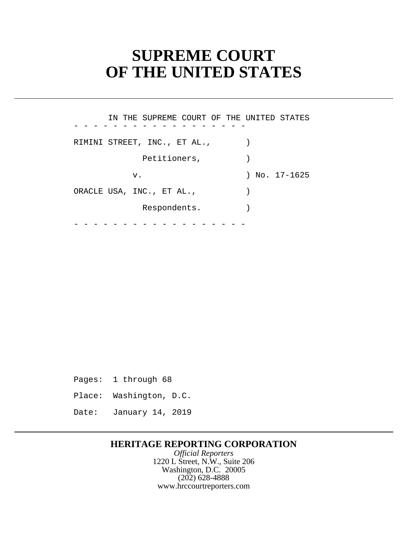# **SUPREME COURT OF THE UNITED STATES**

- - - - - - - - - - - - - - - - - - - - - - - - - - - - - - - - - - - - IN THE SUPREME COURT OF THE UNITED STATES RIMINI STREET, INC., ET AL.,  $\qquad$ ) Petitioners,  $)$  v. ) No. 17-1625 ORACLE USA, INC., ET AL.,  $\qquad \qquad$ Respondents.

Pages: 1 through 68

Place: Washington, D.C.

Date: January 14, 2019

### **HERITAGE REPORTING CORPORATION**

*Official Reporters* 1220 L Street, N.W., Suite 206 Washington, D.C. 20005 (202) 628-4888 <www.hrccourtreporters.com>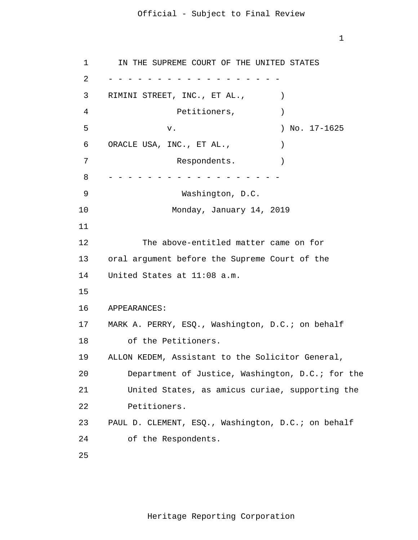1

 1 2 3 4 **5**  $\overline{6}$  7 8 9 10 11 12 13 14 15 16 17 18 19 20 21 22 23 24 25 - - - - - - - - - - - - - - - - - - - - - - - - - - - - - - - - - - - - IN THE SUPREME COURT OF THE UNITED STATES RIMINI STREET, INC., ET AL.,  $\qquad)$ Petitioners,  $)$ v. ) No. 17-1625 ORACLE USA, INC., ET AL.,  $\qquad$ Respondents. Washington, D.C. Monday, January 14, 2019 The above-entitled matter came on for oral argument before the Supreme Court of the United States at 11:08 a.m. APPEARANCES: MARK A. PERRY, ESQ., Washington, D.C.; on behalf of the Petitioners. ALLON KEDEM, Assistant to the Solicitor General, Department of Justice, Washington, D.C.; for the United States, as amicus curiae, supporting the Petitioners. PAUL D. CLEMENT, ESQ., Washington, D.C.; on behalf of the Respondents.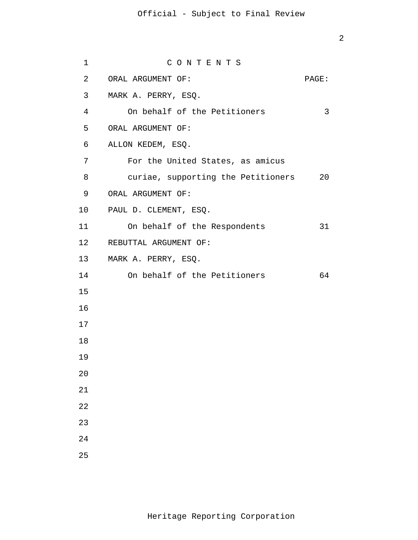| $\mathbf 1$     | CONTENTS                           |       |
|-----------------|------------------------------------|-------|
| 2               | ORAL ARGUMENT OF:                  | PAGE: |
| 3               | MARK A. PERRY, ESQ.                |       |
| $\overline{4}$  | On behalf of the Petitioners       | 3     |
| 5               | ORAL ARGUMENT OF:                  |       |
| 6               | ALLON KEDEM, ESQ.                  |       |
| 7               | For the United States, as amicus   |       |
| 8               | curiae, supporting the Petitioners | 20    |
| 9               | ORAL ARGUMENT OF:                  |       |
| 10 <sub>1</sub> | PAUL D. CLEMENT, ESQ.              |       |
| 11              | On behalf of the Respondents       | 31    |
| 12              | REBUTTAL ARGUMENT OF:              |       |
| 13              | MARK A. PERRY, ESQ.                |       |
| 14              | On behalf of the Petitioners       | 64    |
| 15              |                                    |       |
| 16              |                                    |       |
| 17              |                                    |       |
| 18              |                                    |       |
| 19              |                                    |       |
| $20$            |                                    |       |
| 21              |                                    |       |
| 22              |                                    |       |
| 23              |                                    |       |
| 24              |                                    |       |
| 25              |                                    |       |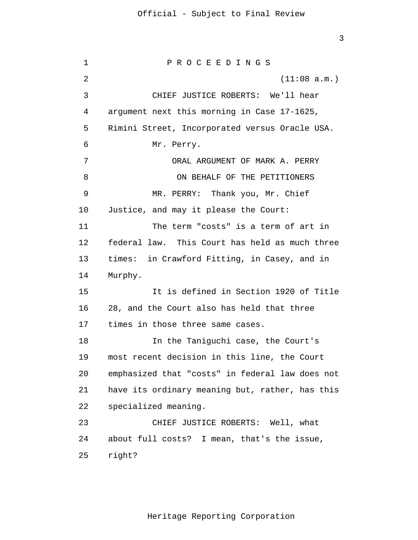3

 1 2 3 4 **5**  $\overline{6}$  7 8 9 10 11 12 13 14 15 16 17 18 19 20 21 22 23 24 25 P R O C E E D I N G S (11:08 a.m.) CHIEF JUSTICE ROBERTS: We'll hear argument next this morning in Case 17-1625, Rimini Street, Incorporated versus Oracle USA. Mr. Perry. ORAL ARGUMENT OF MARK A. PERRY ON BEHALF OF THE PETITIONERS MR. PERRY: Thank you, Mr. Chief Justice, and may it please the Court: The term "costs" is a term of art in federal law. This Court has held as much three times: in Crawford Fitting, in Casey, and in Murphy. It is defined in Section 1920 of Title 28, and the Court also has held that three times in those three same cases. In the Taniguchi case, the Court's most recent decision in this line, the Court emphasized that "costs" in federal law does not have its ordinary meaning but, rather, has this specialized meaning. CHIEF JUSTICE ROBERTS: Well, what about full costs? I mean, that's the issue, right?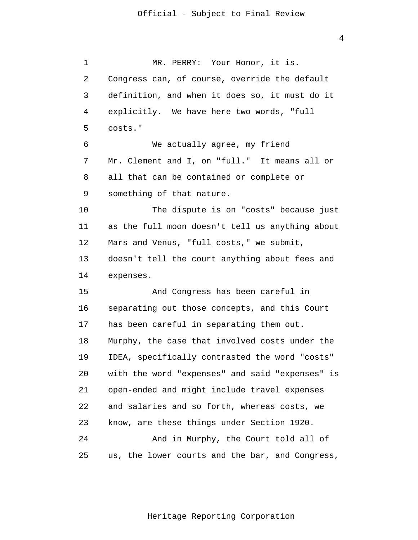1 2 3 4 **5**  $\overline{6}$  7 8 9 10 11 12 13 14 15 16 17 18 19 20 21 22 23 24 25 MR. PERRY: Your Honor, it is. Congress can, of course, override the default definition, and when it does so, it must do it explicitly. We have here two words, "full costs." We actually agree, my friend Mr. Clement and I, on "full." It means all or all that can be contained or complete or something of that nature. The dispute is on "costs" because just as the full moon doesn't tell us anything about Mars and Venus, "full costs," we submit, doesn't tell the court anything about fees and expenses. And Congress has been careful in separating out those concepts, and this Court has been careful in separating them out. Murphy, the case that involved costs under the IDEA, specifically contrasted the word "costs" with the word "expenses" and said "expenses" is open-ended and might include travel expenses and salaries and so forth, whereas costs, we know, are these things under Section 1920. And in Murphy, the Court told all of us, the lower courts and the bar, and Congress,

Heritage Reporting Corporation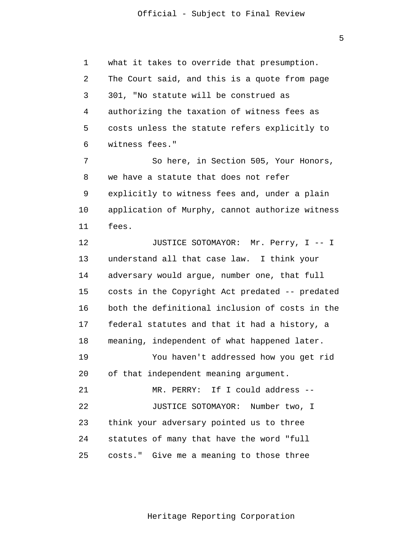1 2 3 4 **5**  $\overline{6}$ what it takes to override that presumption. The Court said, and this is a quote from page 301, "No statute will be construed as authorizing the taxation of witness fees as costs unless the statute refers explicitly to witness fees."

 7 8 9 10 11 So here, in Section 505, Your Honors, we have a statute that does not refer explicitly to witness fees and, under a plain application of Murphy, cannot authorize witness fees.

> 12 13 14 15 16 17 18 19 20 21 22 23 24 25 JUSTICE SOTOMAYOR: Mr. Perry, I -- I understand all that case law. I think your adversary would argue, number one, that full costs in the Copyright Act predated -- predated both the definitional inclusion of costs in the federal statutes and that it had a history, a meaning, independent of what happened later. You haven't addressed how you get rid of that independent meaning argument. MR. PERRY: If I could address -- JUSTICE SOTOMAYOR: Number two, I think your adversary pointed us to three statutes of many that have the word "full costs." Give me a meaning to those three

> > Heritage Reporting Corporation

 $\overline{5}$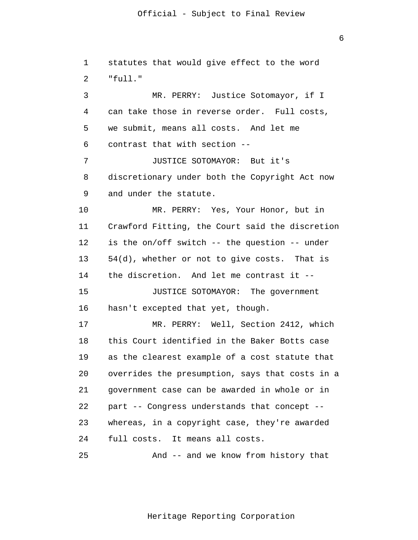1 2 3 4 **5**  $\overline{6}$  7 8 9 10 11 12 13 14 15 16 17 18 19 20 21 22 23 24 25 statutes that would give effect to the word "full." MR. PERRY: Justice Sotomayor, if I can take those in reverse order. Full costs, we submit, means all costs. And let me contrast that with section -- JUSTICE SOTOMAYOR: But it's discretionary under both the Copyright Act now and under the statute. MR. PERRY: Yes, Your Honor, but in Crawford Fitting, the Court said the discretion is the on/off switch -- the question -- under 54(d), whether or not to give costs. That is the discretion. And let me contrast it -- JUSTICE SOTOMAYOR: The government hasn't excepted that yet, though. MR. PERRY: Well, Section 2412, which this Court identified in the Baker Botts case as the clearest example of a cost statute that overrides the presumption, says that costs in a government case can be awarded in whole or in part -- Congress understands that concept - whereas, in a copyright case, they're awarded full costs. It means all costs. And -- and we know from history that

Heritage Reporting Corporation

 $\overline{6}$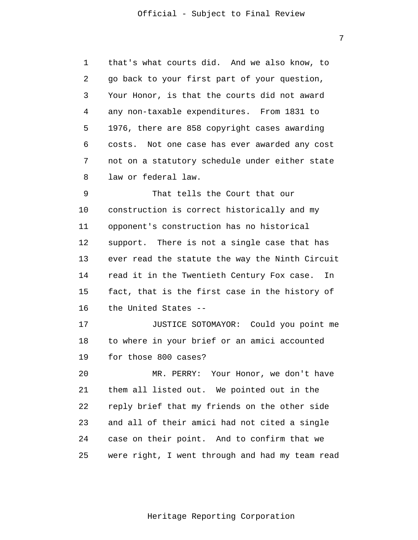1 2 3 4 **5**  $\overline{6}$  7 8 that's what courts did. And we also know, to go back to your first part of your question, Your Honor, is that the courts did not award any non-taxable expenditures. From 1831 to 1976, there are 858 copyright cases awarding costs. Not one case has ever awarded any cost not on a statutory schedule under either state law or federal law.

 9 10 11 12 13 14 15 16 That tells the Court that our construction is correct historically and my opponent's construction has no historical support. There is not a single case that has ever read the statute the way the Ninth Circuit read it in the Twentieth Century Fox case. In fact, that is the first case in the history of the United States --

> 17 18 19 JUSTICE SOTOMAYOR: Could you point me to where in your brief or an amici accounted for those 800 cases?

> 20 21 22 23 24 25 MR. PERRY: Your Honor, we don't have them all listed out. We pointed out in the reply brief that my friends on the other side and all of their amici had not cited a single case on their point. And to confirm that we were right, I went through and had my team read

> > Heritage Reporting Corporation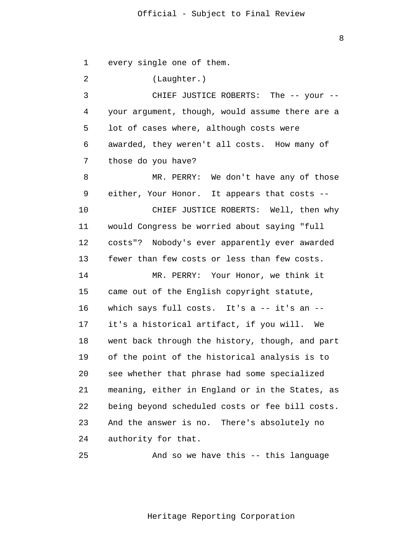8

 1 2 3 4 **5**  $\overline{6}$  7 8 9 10 11 12 13 14 15 16 17 18 19 20 21 22 23 24 25 every single one of them. (Laughter.) CHIEF JUSTICE ROBERTS: The -- your -your argument, though, would assume there are a lot of cases where, although costs were awarded, they weren't all costs. How many of those do you have? MR. PERRY: We don't have any of those either, Your Honor. It appears that costs -- CHIEF JUSTICE ROBERTS: Well, then why would Congress be worried about saying "full costs"? Nobody's ever apparently ever awarded fewer than few costs or less than few costs. MR. PERRY: Your Honor, we think it came out of the English copyright statute, which says full costs. It's a -- it's an -it's a historical artifact, if you will. We went back through the history, though, and part of the point of the historical analysis is to see whether that phrase had some specialized meaning, either in England or in the States, as being beyond scheduled costs or fee bill costs. And the answer is no. There's absolutely no authority for that. And so we have this -- this language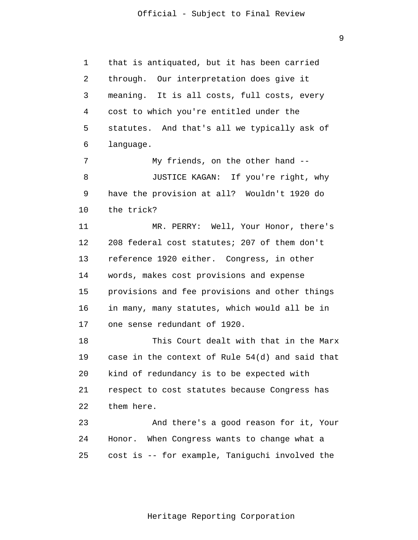1 2 3 4 **5**  $\overline{6}$ that is antiquated, but it has been carried through. Our interpretation does give it meaning. It is all costs, full costs, every cost to which you're entitled under the statutes. And that's all we typically ask of language.

 7 8 9 10 My friends, on the other hand -- JUSTICE KAGAN: If you're right, why have the provision at all? Wouldn't 1920 do the trick?

> 11 12 13 14 15 16 17 MR. PERRY: Well, Your Honor, there's 208 federal cost statutes; 207 of them don't reference 1920 either. Congress, in other words, makes cost provisions and expense provisions and fee provisions and other things in many, many statutes, which would all be in one sense redundant of 1920.

 18 19 20 21 22 This Court dealt with that in the Marx case in the context of Rule 54(d) and said that kind of redundancy is to be expected with respect to cost statutes because Congress has them here.

 23 24 25 And there's a good reason for it, Your Honor. When Congress wants to change what a cost is -- for example, Taniguchi involved the

9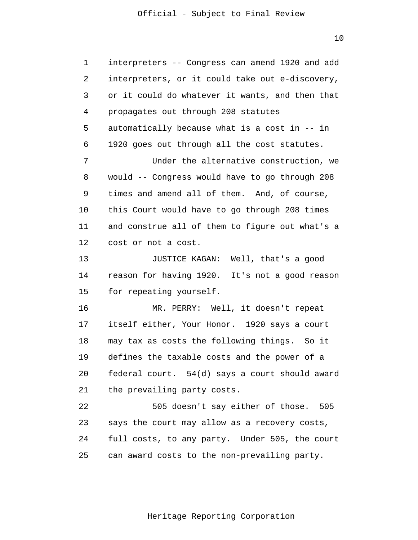1 2 3 4 **5**  $\overline{6}$  7 8 9 10 11 12 13 14 15 16 17 18 19 20 21 interpreters -- Congress can amend 1920 and add interpreters, or it could take out e-discovery, or it could do whatever it wants, and then that propagates out through 208 statutes automatically because what is a cost in -- in 1920 goes out through all the cost statutes. Under the alternative construction, we would -- Congress would have to go through 208 times and amend all of them. And, of course, this Court would have to go through 208 times and construe all of them to figure out what's a cost or not a cost. JUSTICE KAGAN: Well, that's a good reason for having 1920. It's not a good reason for repeating yourself. MR. PERRY: Well, it doesn't repeat itself either, Your Honor. 1920 says a court may tax as costs the following things. So it defines the taxable costs and the power of a federal court. 54(d) says a court should award the prevailing party costs.

> 22 23 24 25 505 doesn't say either of those. 505 says the court may allow as a recovery costs, full costs, to any party. Under 505, the court can award costs to the non-prevailing party.

10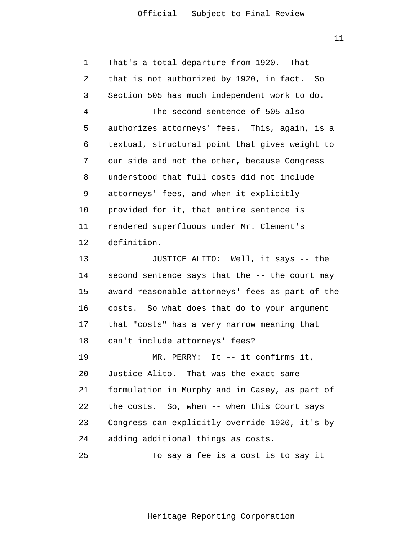$11$ 

| $\mathbf 1$ | That's a total departure from 1920. That --      |
|-------------|--------------------------------------------------|
| 2           | that is not authorized by 1920, in fact.<br>- So |
| 3           | Section 505 has much independent work to do.     |
| 4           | The second sentence of 505 also                  |
| 5           | authorizes attorneys' fees. This, again, is a    |
| 6           | textual, structural point that gives weight to   |
| 7           | our side and not the other, because Congress     |
| 8           | understood that full costs did not include       |
| 9           | attorneys' fees, and when it explicitly          |
| 10          | provided for it, that entire sentence is         |
| 11          | rendered superfluous under Mr. Clement's         |
| 12          | definition.                                      |
| 13          | JUSTICE ALITO: Well, it says -- the              |
| 14          | second sentence says that the -- the court may   |
| 15          | award reasonable attorneys' fees as part of the  |
| 16          | So what does that do to your argument<br>costs.  |
| 17          | that "costs" has a very narrow meaning that      |
| 18          | can't include attorneys' fees?                   |
| 19          | MR. PERRY: It -- it confirms it,                 |
| 20          | Justice Alito. That was the exact same           |
| 21          | formulation in Murphy and in Casey, as part of   |
| 22          | the costs. So, when -- when this Court says      |
| 23          | Congress can explicitly override 1920, it's by   |
| 24          | adding additional things as costs.               |
| 25          | To say a fee is a cost is to say it              |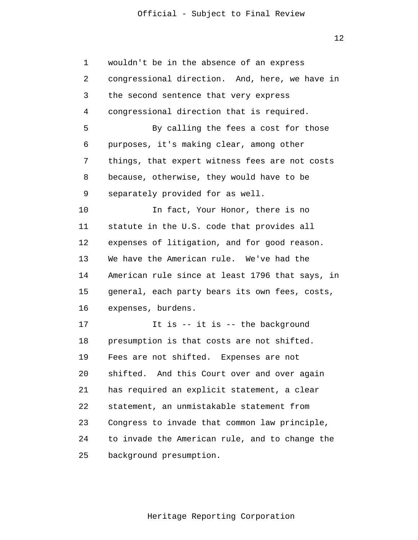| $\mathbf 1$ | wouldn't be in the absence of an express        |
|-------------|-------------------------------------------------|
| 2           | congressional direction. And, here, we have in  |
| 3           | the second sentence that very express           |
| 4           | congressional direction that is required.       |
| 5           | By calling the fees a cost for those            |
| 6           | purposes, it's making clear, among other        |
| 7           | things, that expert witness fees are not costs  |
| 8           | because, otherwise, they would have to be       |
| 9           | separately provided for as well.                |
| 10          | In fact, Your Honor, there is no                |
| 11          | statute in the U.S. code that provides all      |
| 12          | expenses of litigation, and for good reason.    |
| 13          | We have the American rule. We've had the        |
| 14          | American rule since at least 1796 that says, in |
| 15          | general, each party bears its own fees, costs,  |
| 16          | expenses, burdens.                              |
| 17          | It is $-$ it is $-$ the background              |
| 18          | presumption is that costs are not shifted.      |
| 19          | Fees are not shifted.<br>Expenses are not       |
| 20          | shifted. And this Court over and over again     |
| 21          | has required an explicit statement, a clear     |
| 22          | statement, an unmistakable statement from       |
| 23          | Congress to invade that common law principle,   |
| 24          | to invade the American rule, and to change the  |
| 25          | background presumption.                         |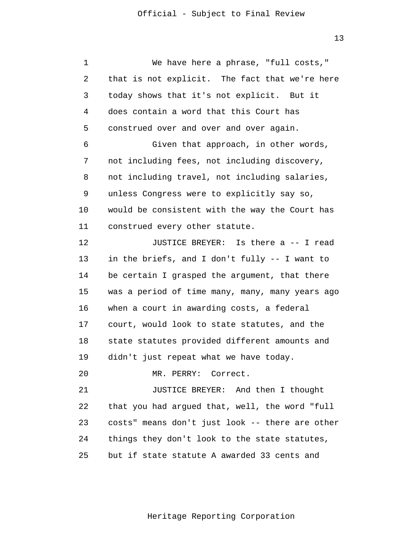1 2 3 4 **5**  $\overline{6}$  7 8 9 10 11 12 13 14 15 16 17 18 19 20 21 We have here a phrase, "full costs," that is not explicit. The fact that we're here today shows that it's not explicit. But it does contain a word that this Court has construed over and over and over again. Given that approach, in other words, not including fees, not including discovery, not including travel, not including salaries, unless Congress were to explicitly say so, would be consistent with the way the Court has construed every other statute. JUSTICE BREYER: Is there a -- I read in the briefs, and I don't fully -- I want to be certain I grasped the argument, that there was a period of time many, many, many years ago when a court in awarding costs, a federal court, would look to state statutes, and the state statutes provided different amounts and didn't just repeat what we have today. MR. PERRY: Correct. JUSTICE BREYER: And then I thought

 22 23 24 25 that you had argued that, well, the word "full costs" means don't just look -- there are other things they don't look to the state statutes, but if state statute A awarded 33 cents and

Heritage Reporting Corporation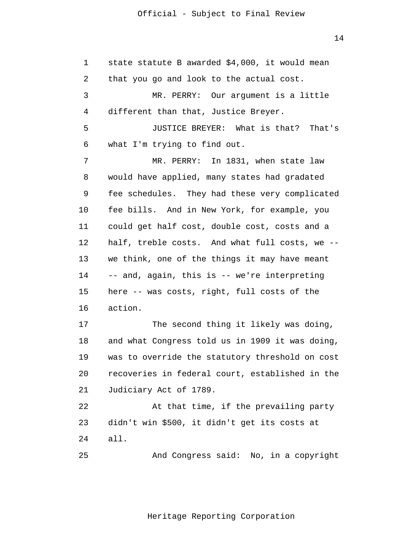1 2 3 4 **5**  $\overline{6}$  7 8 9 10 11 12 13 14 15 16 17 18 19 20 21 22 23 24 25 state statute B awarded \$4,000, it would mean that you go and look to the actual cost. MR. PERRY: Our argument is a little different than that, Justice Breyer. JUSTICE BREYER: What is that? That's what I'm trying to find out. MR. PERRY: In 1831, when state law would have applied, many states had gradated fee schedules. They had these very complicated fee bills. And in New York, for example, you could get half cost, double cost, costs and a half, treble costs. And what full costs, we - we think, one of the things it may have meant -- and, again, this is -- we're interpreting here -- was costs, right, full costs of the action. The second thing it likely was doing, and what Congress told us in 1909 it was doing, was to override the statutory threshold on cost recoveries in federal court, established in the Judiciary Act of 1789. At that time, if the prevailing party didn't win \$500, it didn't get its costs at all. And Congress said: No, in a copyright

14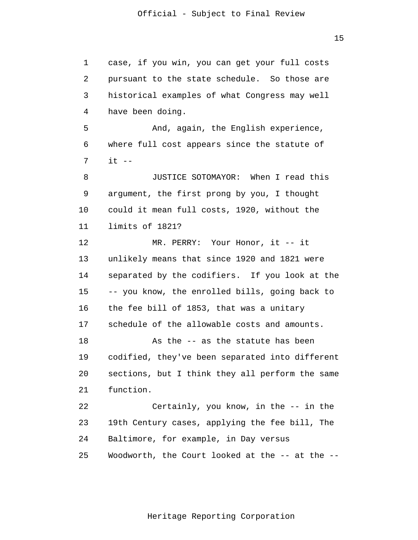1 2 3 4 **5**  6 7 8 9 10 11 12 13 14 15 16 17 18 19 20 21 22 23 24 case, if you win, you can get your full costs pursuant to the state schedule. So those are historical examples of what Congress may well have been doing. And, again, the English experience, where full cost appears since the statute of  $it$   $-$ JUSTICE SOTOMAYOR: When I read this argument, the first prong by you, I thought could it mean full costs, 1920, without the limits of 1821? MR. PERRY: Your Honor, it -- it unlikely means that since 1920 and 1821 were separated by the codifiers. If you look at the -- you know, the enrolled bills, going back to the fee bill of 1853, that was a unitary schedule of the allowable costs and amounts. As the -- as the statute has been codified, they've been separated into different sections, but I think they all perform the same function. Certainly, you know, in the -- in the 19th Century cases, applying the fee bill, The Baltimore, for example, in Day versus

> 25 Woodworth, the Court looked at the -- at the --

> > Heritage Reporting Corporation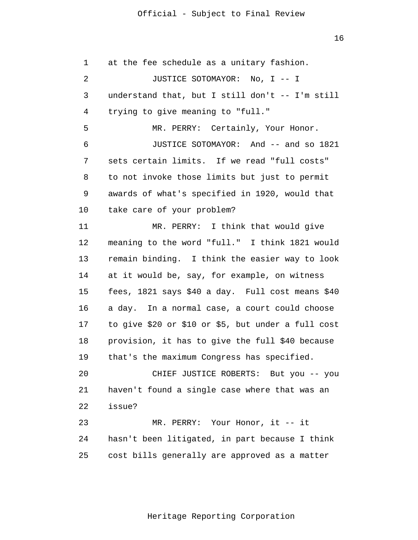16

 1 2 3 4 **5**  6 7 8 9 10 11 12 13 14 15 16 17 18 19 20 21 22 23 24 25 at the fee schedule as a unitary fashion. JUSTICE SOTOMAYOR: No, I -- I understand that, but I still don't -- I'm still trying to give meaning to "full." MR. PERRY: Certainly, Your Honor. JUSTICE SOTOMAYOR: And -- and so 1821 sets certain limits. If we read "full costs" to not invoke those limits but just to permit awards of what's specified in 1920, would that take care of your problem? MR. PERRY: I think that would give meaning to the word "full." I think 1821 would remain binding. I think the easier way to look at it would be, say, for example, on witness fees, 1821 says \$40 a day. Full cost means \$40 a day. In a normal case, a court could choose to give \$20 or \$10 or \$5, but under a full cost provision, it has to give the full \$40 because that's the maximum Congress has specified. CHIEF JUSTICE ROBERTS: But you -- you haven't found a single case where that was an issue? MR. PERRY: Your Honor, it -- it hasn't been litigated, in part because I think cost bills generally are approved as a matter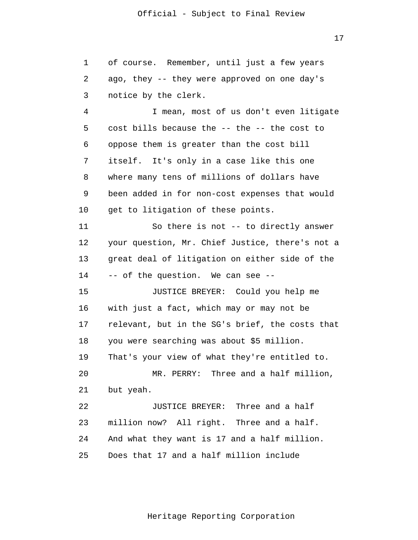1 2 3 of course. Remember, until just a few years ago, they -- they were approved on one day's notice by the clerk.

 4 **5**  6 7 8 9 10 I mean, most of us don't even litigate cost bills because the -- the -- the cost to oppose them is greater than the cost bill itself. It's only in a case like this one where many tens of millions of dollars have been added in for non-cost expenses that would get to litigation of these points.

> 11 12 13 14 So there is not -- to directly answer your question, Mr. Chief Justice, there's not a great deal of litigation on either side of the -- of the question. We can see --

> 15 16 17 18 19 20 21 22 JUSTICE BREYER: Could you help me with just a fact, which may or may not be relevant, but in the SG's brief, the costs that you were searching was about \$5 million. That's your view of what they're entitled to. MR. PERRY: Three and a half million, but yeah. JUSTICE BREYER: Three and a half

 23 24 25 million now? All right. Three and a half. And what they want is 17 and a half million. Does that 17 and a half million include

Heritage Reporting Corporation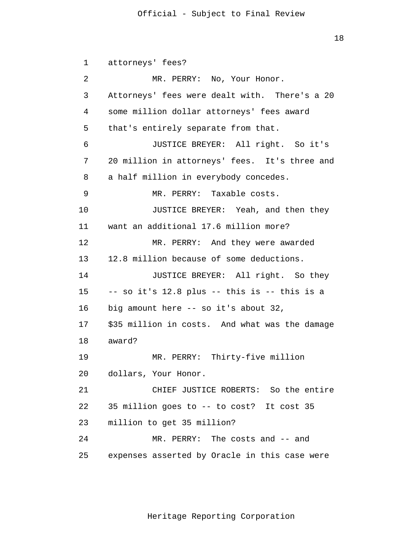18

 1 2 3 4 **5**  6 7 8 9 10 11 12 13 14 15 16 17 18 19 20 21 22 23 24 25 attorneys' fees? MR. PERRY: No, Your Honor. Attorneys' fees were dealt with. There's a 20 some million dollar attorneys' fees award that's entirely separate from that. JUSTICE BREYER: All right. So it's 20 million in attorneys' fees. It's three and a half million in everybody concedes. MR. PERRY: Taxable costs. JUSTICE BREYER: Yeah, and then they want an additional 17.6 million more? MR. PERRY: And they were awarded 12.8 million because of some deductions. JUSTICE BREYER: All right. So they -- so it's 12.8 plus -- this is -- this is a big amount here -- so it's about 32, \$35 million in costs. And what was the damage award? MR. PERRY: Thirty-five million dollars, Your Honor. CHIEF JUSTICE ROBERTS: So the entire 35 million goes to -- to cost? It cost 35 million to get 35 million? MR. PERRY: The costs and -- and expenses asserted by Oracle in this case were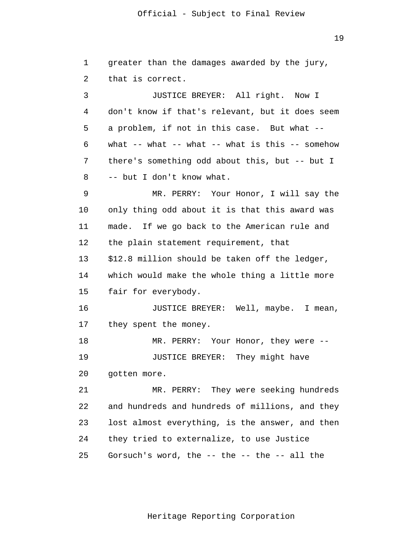19

 1 2 3 4 **5**  6 7 8 9 10 11 12 13 14 15 16 17 18 19 20 21 22 23 24 25 greater than the damages awarded by the jury, that is correct. JUSTICE BREYER: All right. Now I don't know if that's relevant, but it does seem a problem, if not in this case. But what - what  $--$  what  $--$  what  $--$  what is this  $--$  somehow there's something odd about this, but -- but I -- but I don't know what. MR. PERRY: Your Honor, I will say the only thing odd about it is that this award was made. If we go back to the American rule and the plain statement requirement, that \$12.8 million should be taken off the ledger, which would make the whole thing a little more fair for everybody. JUSTICE BREYER: Well, maybe. I mean, they spent the money. MR. PERRY: Your Honor, they were -- JUSTICE BREYER: They might have gotten more. MR. PERRY: They were seeking hundreds and hundreds and hundreds of millions, and they lost almost everything, is the answer, and then they tried to externalize, to use Justice Gorsuch's word, the -- the -- the -- all the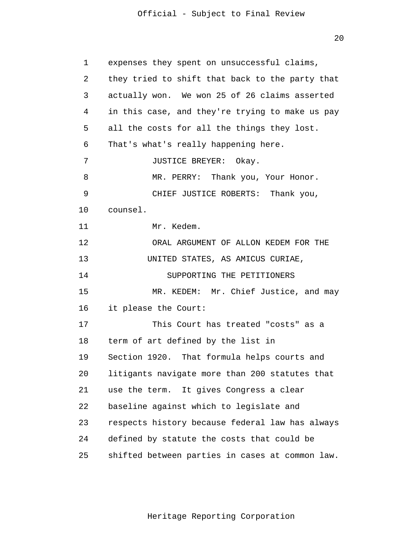| 1  | expenses they spent on unsuccessful claims,     |
|----|-------------------------------------------------|
| 2  | they tried to shift that back to the party that |
| 3  | actually won. We won 25 of 26 claims asserted   |
| 4  | in this case, and they're trying to make us pay |
| 5  | all the costs for all the things they lost.     |
| 6  | That's what's really happening here.            |
| 7  | JUSTICE BREYER: Okay.                           |
| 8  | MR. PERRY: Thank you, Your Honor.               |
| 9  | CHIEF JUSTICE ROBERTS: Thank you,               |
| 10 | counsel.                                        |
| 11 | Mr. Kedem.                                      |
| 12 | ORAL ARGUMENT OF ALLON KEDEM FOR THE            |
| 13 | UNITED STATES, AS AMICUS CURIAE,                |
| 14 | SUPPORTING THE PETITIONERS                      |
| 15 | MR. KEDEM: Mr. Chief Justice, and may           |
| 16 | it please the Court:                            |
| 17 | This Court has treated "costs" as a             |
| 18 | term of art defined by the list in              |
| 19 | Section 1920. That formula helps courts and     |
| 20 | litigants navigate more than 200 statutes that  |
| 21 | It gives Congress a clear<br>use the term.      |
| 22 | baseline against which to legislate and         |
| 23 | respects history because federal law has always |
| 24 | defined by statute the costs that could be      |
| 25 | shifted between parties in cases at common law. |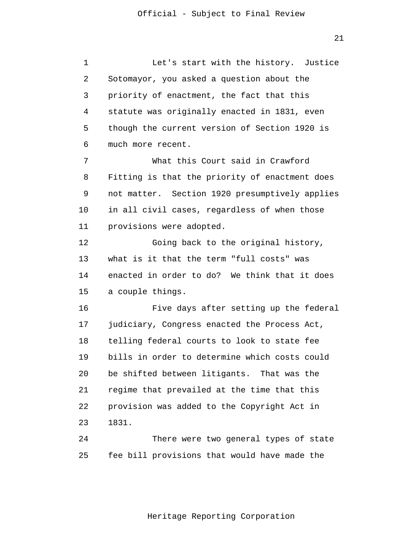21

 1 2 3 4 **5**  $\overline{6}$  7 8 9 10 11 12 13 14 15 16 17 18 19 20 21 22 23 24 25 Let's start with the history. Justice Sotomayor, you asked a question about the priority of enactment, the fact that this statute was originally enacted in 1831, even though the current version of Section 1920 is much more recent. What this Court said in Crawford Fitting is that the priority of enactment does not matter. Section 1920 presumptively applies in all civil cases, regardless of when those provisions were adopted. Going back to the original history, what is it that the term "full costs" was enacted in order to do? We think that it does a couple things. Five days after setting up the federal judiciary, Congress enacted the Process Act, telling federal courts to look to state fee bills in order to determine which costs could be shifted between litigants. That was the regime that prevailed at the time that this provision was added to the Copyright Act in 1831. There were two general types of state fee bill provisions that would have made the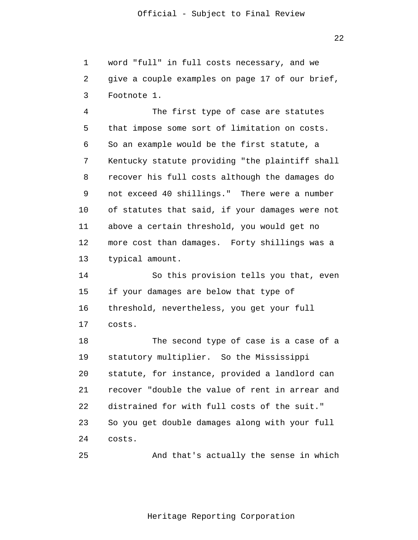1 2 3 word "full" in full costs necessary, and we give a couple examples on page 17 of our brief, Footnote 1.

 4 **5**  $\overline{6}$  7 8 9 10 11 12 13 The first type of case are statutes that impose some sort of limitation on costs. So an example would be the first statute, a Kentucky statute providing "the plaintiff shall recover his full costs although the damages do not exceed 40 shillings." There were a number of statutes that said, if your damages were not above a certain threshold, you would get no more cost than damages. Forty shillings was a typical amount.

> 14 15 16 17 So this provision tells you that, even if your damages are below that type of threshold, nevertheless, you get your full costs.

> 18 19 20 21 22 23 24 The second type of case is a case of a statutory multiplier. So the Mississippi statute, for instance, provided a landlord can recover "double the value of rent in arrear and distrained for with full costs of the suit." So you get double damages along with your full costs.

> 25 And that's actually the sense in which

> > Heritage Reporting Corporation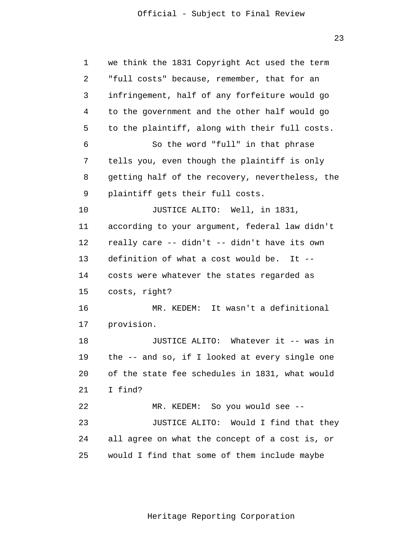| $\mathbf 1$ | we think the 1831 Copyright Act used the term   |
|-------------|-------------------------------------------------|
| 2           | "full costs" because, remember, that for an     |
| 3           | infringement, half of any forfeiture would go   |
| 4           | to the government and the other half would go   |
| 5           | to the plaintiff, along with their full costs.  |
| 6           | So the word "full" in that phrase               |
| 7           | tells you, even though the plaintiff is only    |
| 8           | getting half of the recovery, nevertheless, the |
| 9           | plaintiff gets their full costs.                |
| 10          | JUSTICE ALITO: Well, in 1831,                   |
| 11          | according to your argument, federal law didn't  |
| 12          | really care -- didn't -- didn't have its own    |
| 13          | definition of what a cost would be. It --       |
| 14          | costs were whatever the states regarded as      |
| 15          | costs, right?                                   |
| 16          | MR. KEDEM: It wasn't a definitional             |
| 17          | provision.                                      |
| 18          | JUSTICE ALITO: Whatever it -- was in            |
| 19          | the -- and so, if I looked at every single one  |
| 20          | of the state fee schedules in 1831, what would  |
| 21          | I find?                                         |
| 22          | MR. KEDEM: So you would see --                  |
| 23          | JUSTICE ALITO: Would I find that they           |
| 24          | all agree on what the concept of a cost is, or  |
| 25          | would I find that some of them include maybe    |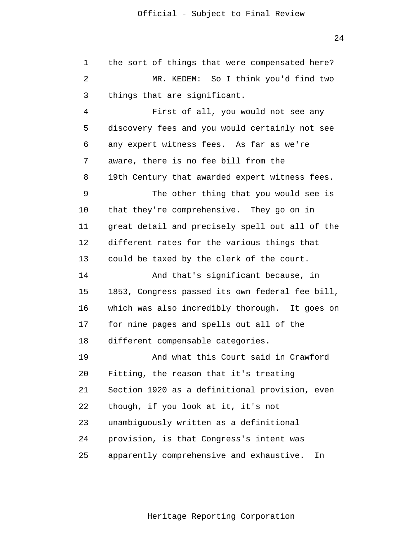1 2 3 4 **5**  $\overline{6}$  7 8 9 10 11 12 13 14 15 16 17 18 19 20 21 22 23 24 25 the sort of things that were compensated here? MR. KEDEM: So I think you'd find two things that are significant. First of all, you would not see any discovery fees and you would certainly not see any expert witness fees. As far as we're aware, there is no fee bill from the 19th Century that awarded expert witness fees. The other thing that you would see is that they're comprehensive. They go on in great detail and precisely spell out all of the different rates for the various things that could be taxed by the clerk of the court. And that's significant because, in 1853, Congress passed its own federal fee bill, which was also incredibly thorough. It goes on for nine pages and spells out all of the different compensable categories. And what this Court said in Crawford Fitting, the reason that it's treating Section 1920 as a definitional provision, even though, if you look at it, it's not unambiguously written as a definitional provision, is that Congress's intent was apparently comprehensive and exhaustive. In

24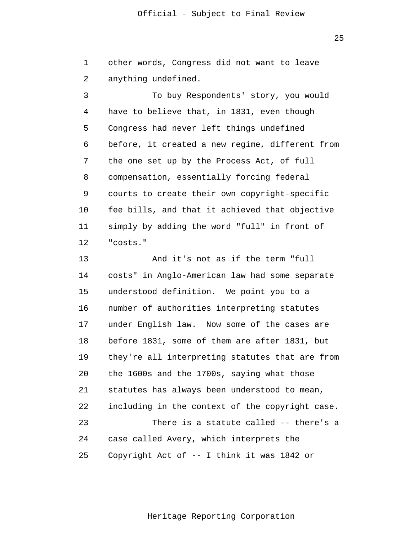1 2 other words, Congress did not want to leave anything undefined.

 3 4 **5**  $\overline{6}$  7 8 9 10 11 12 To buy Respondents' story, you would have to believe that, in 1831, even though Congress had never left things undefined before, it created a new regime, different from the one set up by the Process Act, of full compensation, essentially forcing federal courts to create their own copyright-specific fee bills, and that it achieved that objective simply by adding the word "full" in front of "costs."

> 13 14 15 16 17 18 19 20 21 22 23 24 25 And it's not as if the term "full costs" in Anglo-American law had some separate understood definition. We point you to a number of authorities interpreting statutes under English law. Now some of the cases are before 1831, some of them are after 1831, but they're all interpreting statutes that are from the 1600s and the 1700s, saying what those statutes has always been understood to mean, including in the context of the copyright case. There is a statute called -- there's a case called Avery, which interprets the Copyright Act of -- I think it was 1842 or

<u>25 and 25 and 25 and 25 and 25 and 25 and 25 and 25 and 25 and 25 and 25 and 25 and 25 and 25 and 25 and 25 and 25 and 25 and 25 and 25 and 25 and 25 and 25 and 25 and 25 and 26 and 26 and 26 and 26 and 26 and 26 and 26 a</u>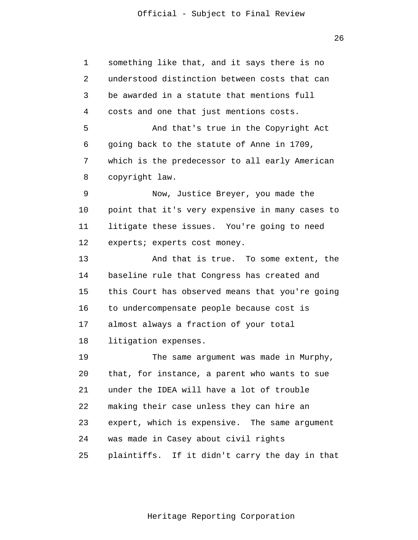26

 1 2 3 4 **5**  $\overline{6}$  7 8 9 10 11 12 13 14 15 16 17 18 19 20 21 22 23 24 25 something like that, and it says there is no understood distinction between costs that can be awarded in a statute that mentions full costs and one that just mentions costs. And that's true in the Copyright Act going back to the statute of Anne in 1709, which is the predecessor to all early American copyright law. Now, Justice Breyer, you made the point that it's very expensive in many cases to litigate these issues. You're going to need experts; experts cost money. And that is true. To some extent, the baseline rule that Congress has created and this Court has observed means that you're going to undercompensate people because cost is almost always a fraction of your total litigation expenses. The same argument was made in Murphy, that, for instance, a parent who wants to sue under the IDEA will have a lot of trouble making their case unless they can hire an expert, which is expensive. The same argument was made in Casey about civil rights plaintiffs. If it didn't carry the day in that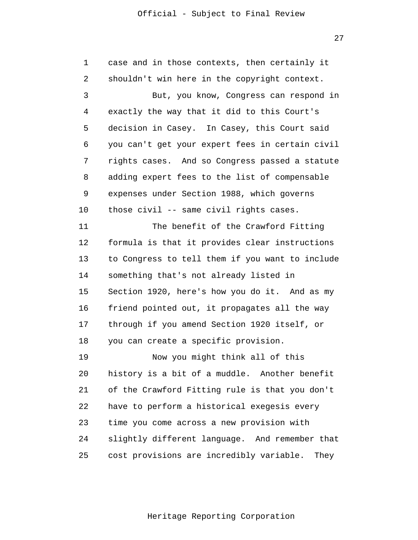27

 1 2 3 4 **5**  $\overline{6}$  7 8 9 10 11 12 13 14 15 16 17 18 19 20 21 22 23 24 25 case and in those contexts, then certainly it shouldn't win here in the copyright context. But, you know, Congress can respond in exactly the way that it did to this Court's decision in Casey. In Casey, this Court said you can't get your expert fees in certain civil rights cases. And so Congress passed a statute adding expert fees to the list of compensable expenses under Section 1988, which governs those civil -- same civil rights cases. The benefit of the Crawford Fitting formula is that it provides clear instructions to Congress to tell them if you want to include something that's not already listed in Section 1920, here's how you do it. And as my friend pointed out, it propagates all the way through if you amend Section 1920 itself, or you can create a specific provision. Now you might think all of this history is a bit of a muddle. Another benefit of the Crawford Fitting rule is that you don't have to perform a historical exegesis every time you come across a new provision with slightly different language. And remember that cost provisions are incredibly variable. They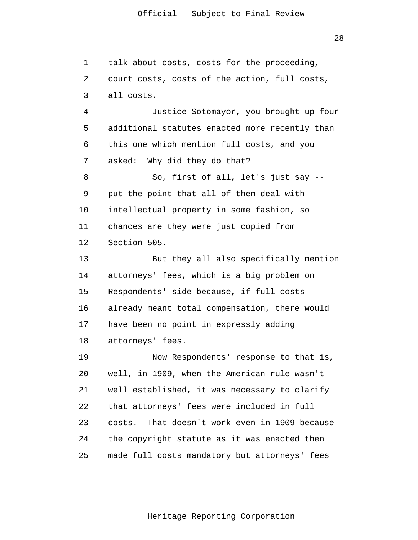28

 1 2 3 4 **5**  $\overline{6}$  7 8 9 10 11 12 13 14 15 16 17 18 19 20 21 22 23 24 25 talk about costs, costs for the proceeding, court costs, costs of the action, full costs, all costs. Justice Sotomayor, you brought up four additional statutes enacted more recently than this one which mention full costs, and you asked: Why did they do that? So, first of all, let's just say - put the point that all of them deal with intellectual property in some fashion, so chances are they were just copied from Section 505. But they all also specifically mention attorneys' fees, which is a big problem on Respondents' side because, if full costs already meant total compensation, there would have been no point in expressly adding attorneys' fees. Now Respondents' response to that is, well, in 1909, when the American rule wasn't well established, it was necessary to clarify that attorneys' fees were included in full costs. That doesn't work even in 1909 because the copyright statute as it was enacted then made full costs mandatory but attorneys' fees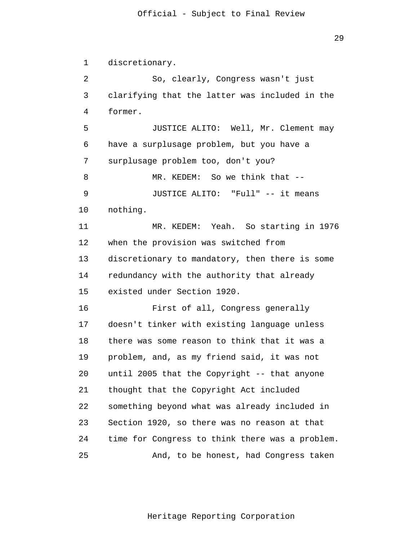1 2 3 4 **5**  $\overline{6}$  7 8 9 10 11 12 13 14 15 16 17 18 19 20 21 22 23 24 25 discretionary. So, clearly, Congress wasn't just clarifying that the latter was included in the former. JUSTICE ALITO: Well, Mr. Clement may have a surplusage problem, but you have a surplusage problem too, don't you? MR. KEDEM: So we think that --JUSTICE ALITO: "Full" -- it means nothing. MR. KEDEM: Yeah. So starting in 1976 when the provision was switched from discretionary to mandatory, then there is some redundancy with the authority that already existed under Section 1920. First of all, Congress generally doesn't tinker with existing language unless there was some reason to think that it was a problem, and, as my friend said, it was not until 2005 that the Copyright -- that anyone thought that the Copyright Act included something beyond what was already included in Section 1920, so there was no reason at that time for Congress to think there was a problem. And, to be honest, had Congress taken

Heritage Reporting Corporation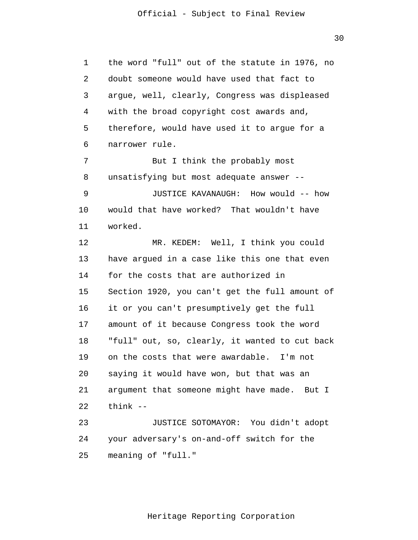30

 1 2 3 4 **5**  $\overline{6}$  7 8 9 10 11 12 13 14 15 16 17 18 19 20 21 22 23 24 25 the word "full" out of the statute in 1976, no doubt someone would have used that fact to argue, well, clearly, Congress was displeased with the broad copyright cost awards and, therefore, would have used it to argue for a narrower rule. But I think the probably most unsatisfying but most adequate answer -- JUSTICE KAVANAUGH: How would -- how would that have worked? That wouldn't have worked. MR. KEDEM: Well, I think you could have argued in a case like this one that even for the costs that are authorized in Section 1920, you can't get the full amount of it or you can't presumptively get the full amount of it because Congress took the word "full" out, so, clearly, it wanted to cut back on the costs that were awardable. I'm not saying it would have won, but that was an argument that someone might have made. But I think -- JUSTICE SOTOMAYOR: You didn't adopt your adversary's on-and-off switch for the meaning of "full."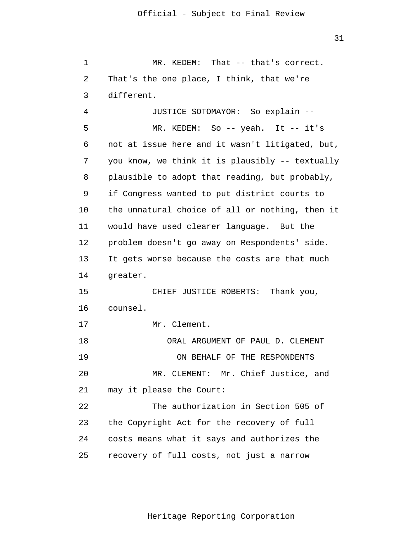1 2 3 4 **5**  $\overline{6}$  7 8 9 10 11 12 13 14 15 16 17 18 19 20 21 22 23 MR. KEDEM: That -- that's correct. That's the one place, I think, that we're different. JUSTICE SOTOMAYOR: So explain -- MR. KEDEM: So -- yeah. It -- it's not at issue here and it wasn't litigated, but, you know, we think it is plausibly -- textually plausible to adopt that reading, but probably, if Congress wanted to put district courts to the unnatural choice of all or nothing, then it would have used clearer language. But the problem doesn't go away on Respondents' side. It gets worse because the costs are that much greater. CHIEF JUSTICE ROBERTS: Thank you, counsel. Mr. Clement. ORAL ARGUMENT OF PAUL D. CLEMENT ON BEHALF OF THE RESPONDENTS MR. CLEMENT: Mr. Chief Justice, and may it please the Court: The authorization in Section 505 of the Copyright Act for the recovery of full

> 24 25 costs means what it says and authorizes the recovery of full costs, not just a narrow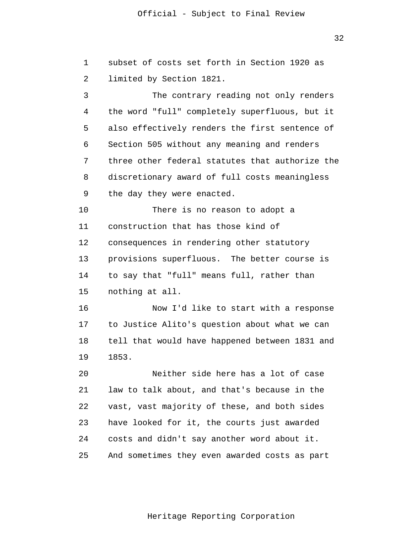32

| $\mathbf{1}$ | subset of costs set forth in Section 1920 as    |
|--------------|-------------------------------------------------|
| 2            | limited by Section 1821.                        |
| 3            | The contrary reading not only renders           |
| 4            | the word "full" completely superfluous, but it  |
| 5            | also effectively renders the first sentence of  |
| 6            | Section 505 without any meaning and renders     |
| 7            | three other federal statutes that authorize the |
| 8            | discretionary award of full costs meaningless   |
| 9            | the day they were enacted.                      |
| 10           | There is no reason to adopt a                   |
| 11           | construction that has those kind of             |
| 12           | consequences in rendering other statutory       |
| 13           | provisions superfluous. The better course is    |
| 14           | to say that "full" means full, rather than      |
| 15           | nothing at all.                                 |
| 16           | Now I'd like to start with a response           |
| 17           | to Justice Alito's question about what we can   |
| 18           | tell that would have happened between 1831 and  |
| 19           | 1853.                                           |
| 20           | Neither side here has a lot of case             |
| 21           | law to talk about, and that's because in the    |
| 22           | vast, vast majority of these, and both sides    |
| 23           | have looked for it, the courts just awarded     |
| 24           | costs and didn't say another word about it.     |
| 25           | And sometimes they even awarded costs as part   |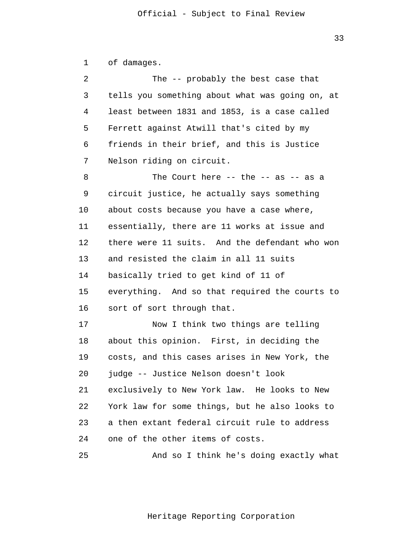1 2 3 4 **5**  $\overline{6}$  7 8 9 10 11 12 13 14 15 16 17 18 19 20 21 22 23 24 25 of damages. The -- probably the best case that tells you something about what was going on, at least between 1831 and 1853, is a case called Ferrett against Atwill that's cited by my friends in their brief, and this is Justice Nelson riding on circuit. The Court here  $--$  the  $--$  as  $--$  as a circuit justice, he actually says something about costs because you have a case where, essentially, there are 11 works at issue and there were 11 suits. And the defendant who won and resisted the claim in all 11 suits basically tried to get kind of 11 of everything. And so that required the courts to sort of sort through that. Now I think two things are telling about this opinion. First, in deciding the costs, and this cases arises in New York, the judge -- Justice Nelson doesn't look exclusively to New York law. He looks to New York law for some things, but he also looks to a then extant federal circuit rule to address one of the other items of costs. And so I think he's doing exactly what

Heritage Reporting Corporation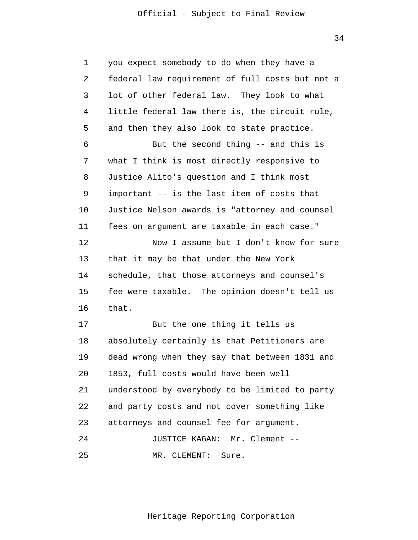34

| $\mathbf 1$ | you expect somebody to do when they have a      |
|-------------|-------------------------------------------------|
| 2           | federal law requirement of full costs but not a |
| 3           | lot of other federal law. They look to what     |
| 4           | little federal law there is, the circuit rule,  |
| 5           | and then they also look to state practice.      |
| 6           | But the second thing -- and this is             |
| 7           | what I think is most directly responsive to     |
| 8           | Justice Alito's question and I think most       |
| 9           | important -- is the last item of costs that     |
| 10          | Justice Nelson awards is "attorney and counsel  |
| 11          | fees on argument are taxable in each case."     |
| 12          | Now I assume but I don't know for sure          |
| 13          | that it may be that under the New York          |
| 14          | schedule, that those attorneys and counsel's    |
| 15          | fee were taxable. The opinion doesn't tell us   |
| 16          | that.                                           |
| 17          | But the one thing it tells us                   |
| 18          | absolutely certainly is that Petitioners are    |
| 19          | dead wrong when they say that between 1831 and  |
| 20          | 1853, full costs would have been well           |
| 21          | understood by everybody to be limited to party  |
| 22          | and party costs and not cover something like    |
| 23          | attorneys and counsel fee for argument.         |
| 24          | <b>JUSTICE KAGAN:</b><br>Mr. Clement --         |
| 25          | MR. CLEMENT:<br>Sure.                           |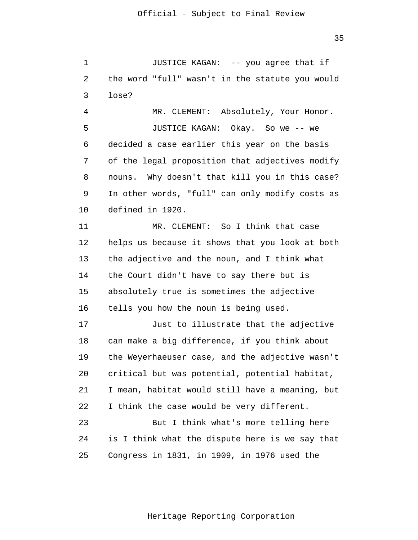35

 1 2 3 JUSTICE KAGAN: -- you agree that if the word "full" wasn't in the statute you would lose?

 4 **5**  $\overline{6}$  7 8 9 10 MR. CLEMENT: Absolutely, Your Honor. JUSTICE KAGAN: Okay. So we -- we decided a case earlier this year on the basis of the legal proposition that adjectives modify nouns. Why doesn't that kill you in this case? In other words, "full" can only modify costs as defined in 1920.

> 11 12 13 14 15 16 MR. CLEMENT: So I think that case helps us because it shows that you look at both the adjective and the noun, and I think what the Court didn't have to say there but is absolutely true is sometimes the adjective tells you how the noun is being used.

> 17 18 19 20 21 22 23 Just to illustrate that the adjective can make a big difference, if you think about the Weyerhaeuser case, and the adjective wasn't critical but was potential, potential habitat, I mean, habitat would still have a meaning, but I think the case would be very different. But I think what's more telling here

> 24 25 is I think what the dispute here is we say that Congress in 1831, in 1909, in 1976 used the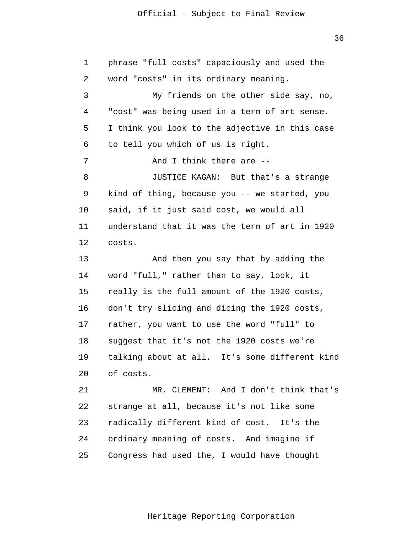36

 1 2 3 4 **5**  $\overline{6}$  7 8 9 10 11 12 13 14 15 16 17 18 19 20 21 22 23 24 25 phrase "full costs" capaciously and used the word "costs" in its ordinary meaning. My friends on the other side say, no, "cost" was being used in a term of art sense. I think you look to the adjective in this case to tell you which of us is right. And I think there are -- JUSTICE KAGAN: But that's a strange kind of thing, because you -- we started, you said, if it just said cost, we would all understand that it was the term of art in 1920 costs. And then you say that by adding the word "full," rather than to say, look, it really is the full amount of the 1920 costs, don't try slicing and dicing the 1920 costs, rather, you want to use the word "full" to suggest that it's not the 1920 costs we're talking about at all. It's some different kind of costs. MR. CLEMENT: And I don't think that's strange at all, because it's not like some radically different kind of cost. It's the ordinary meaning of costs. And imagine if Congress had used the, I would have thought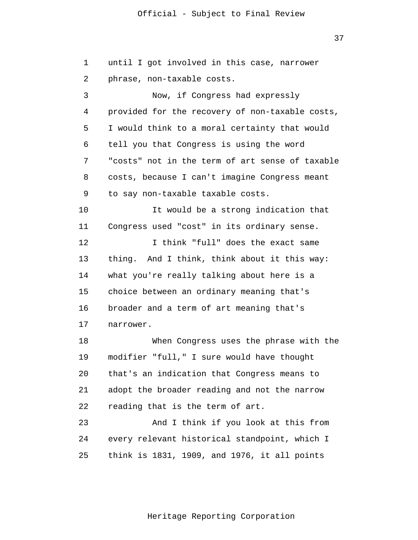37

| $\mathbf 1$ | until I got involved in this case, narrower     |
|-------------|-------------------------------------------------|
| 2           | phrase, non-taxable costs.                      |
| 3           | Now, if Congress had expressly                  |
| 4           | provided for the recovery of non-taxable costs, |
| 5           | I would think to a moral certainty that would   |
| 6           | tell you that Congress is using the word        |
| 7           | "costs" not in the term of art sense of taxable |
| 8           | costs, because I can't imagine Congress meant   |
| 9           | to say non-taxable taxable costs.               |
| 10          | It would be a strong indication that            |
| 11          | Congress used "cost" in its ordinary sense.     |
| 12          | I think "full" does the exact same              |
| 13          | thing. And I think, think about it this way:    |
| 14          | what you're really talking about here is a      |
| 15          | choice between an ordinary meaning that's       |
| 16          | broader and a term of art meaning that's        |
| 17          | narrower.                                       |
| 18          | When Congress uses the phrase with the          |
| 19          | modifier "full," I sure would have thought      |
| 20          | that's an indication that Congress means to     |
| 21          | adopt the broader reading and not the narrow    |
| 22          | reading that is the term of art.                |
| 23          | And I think if you look at this from            |
| 24          | every relevant historical standpoint, which I   |
| 25          | think is 1831, 1909, and 1976, it all points    |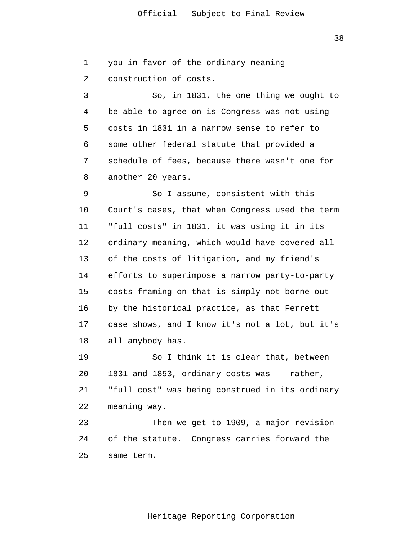38

 1 2 3 4 **5**  $\overline{6}$  7 8 you in favor of the ordinary meaning construction of costs. So, in 1831, the one thing we ought to be able to agree on is Congress was not using costs in 1831 in a narrow sense to refer to some other federal statute that provided a schedule of fees, because there wasn't one for another 20 years.

 9 10 11 12 13 14 15 16 17 18 So I assume, consistent with this Court's cases, that when Congress used the term "full costs" in 1831, it was using it in its ordinary meaning, which would have covered all of the costs of litigation, and my friend's efforts to superimpose a narrow party-to-party costs framing on that is simply not borne out by the historical practice, as that Ferrett case shows, and I know it's not a lot, but it's all anybody has.

> 19 20 21 22 So I think it is clear that, between 1831 and 1853, ordinary costs was -- rather, "full cost" was being construed in its ordinary meaning way.

 23 24 25 Then we get to 1909, a major revision of the statute. Congress carries forward the same term.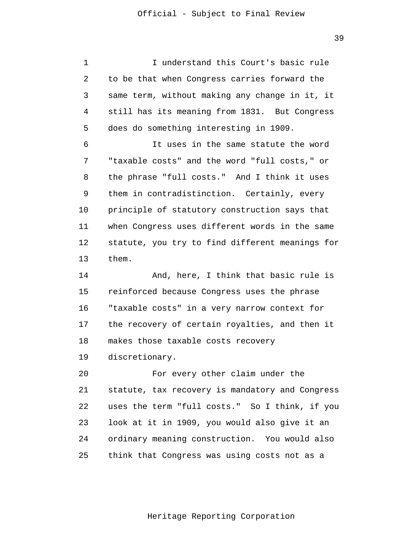1 2 3 4 **5** I understand this Court's basic rule to be that when Congress carries forward the same term, without making any change in it, it still has its meaning from 1831. But Congress does do something interesting in 1909.

 $\overline{6}$  7 8 9 10 11 12 13 It uses in the same statute the word "taxable costs" and the word "full costs," or the phrase "full costs." And I think it uses them in contradistinction. Certainly, every principle of statutory construction says that when Congress uses different words in the same statute, you try to find different meanings for them.

> 14 15 16 17 18 And, here, I think that basic rule is reinforced because Congress uses the phrase "taxable costs" in a very narrow context for the recovery of certain royalties, and then it makes those taxable costs recovery

 19 discretionary.

 20 21 22 23 24 25 For every other claim under the statute, tax recovery is mandatory and Congress uses the term "full costs." So I think, if you look at it in 1909, you would also give it an ordinary meaning construction. You would also think that Congress was using costs not as a

Heritage Reporting Corporation

39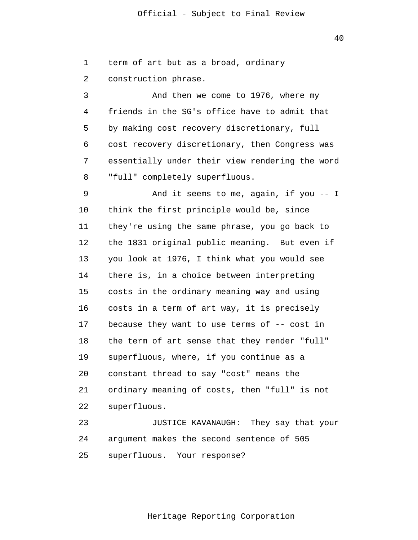1 2 3 4 **5**  $\overline{6}$  7 8 9 10 11 12 13 14 15 16 17 18 19 20 21 22 23 24 25 term of art but as a broad, ordinary construction phrase. And then we come to 1976, where my friends in the SG's office have to admit that by making cost recovery discretionary, full cost recovery discretionary, then Congress was essentially under their view rendering the word "full" completely superfluous. And it seems to me, again, if you -- I think the first principle would be, since they're using the same phrase, you go back to the 1831 original public meaning. But even if you look at 1976, I think what you would see there is, in a choice between interpreting costs in the ordinary meaning way and using costs in a term of art way, it is precisely because they want to use terms of -- cost in the term of art sense that they render "full" superfluous, where, if you continue as a constant thread to say "cost" means the ordinary meaning of costs, then "full" is not superfluous. JUSTICE KAVANAUGH: They say that your argument makes the second sentence of 505 superfluous. Your response?

40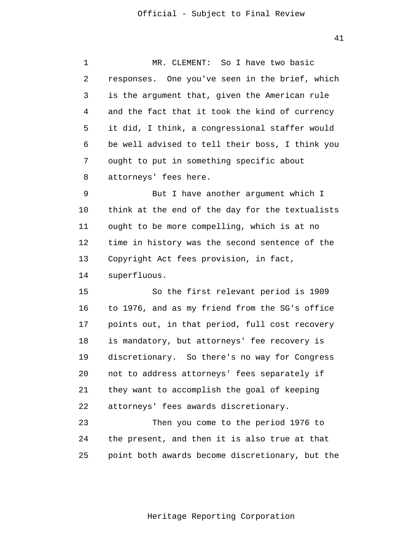41

 1 2 3 4 **5**  $\overline{6}$  7 8 MR. CLEMENT: So I have two basic responses. One you've seen in the brief, which is the argument that, given the American rule and the fact that it took the kind of currency it did, I think, a congressional staffer would be well advised to tell their boss, I think you ought to put in something specific about attorneys' fees here.

 9 10 11 12 13 14 But I have another argument which I think at the end of the day for the textualists ought to be more compelling, which is at no time in history was the second sentence of the Copyright Act fees provision, in fact, superfluous.

> 15 16 17 18 19 20 21 22 So the first relevant period is 1909 to 1976, and as my friend from the SG's office points out, in that period, full cost recovery is mandatory, but attorneys' fee recovery is discretionary. So there's no way for Congress not to address attorneys' fees separately if they want to accomplish the goal of keeping attorneys' fees awards discretionary.

 23 24 25 Then you come to the period 1976 to the present, and then it is also true at that point both awards become discretionary, but the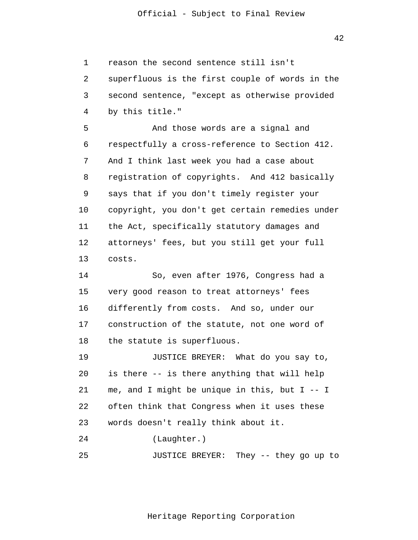42

 1 2 3 4 reason the second sentence still isn't superfluous is the first couple of words in the second sentence, "except as otherwise provided by this title."

**5**  $\overline{6}$  7 8 9 10 11 12 13 And those words are a signal and respectfully a cross-reference to Section 412. And I think last week you had a case about registration of copyrights. And 412 basically says that if you don't timely register your copyright, you don't get certain remedies under the Act, specifically statutory damages and attorneys' fees, but you still get your full costs.

> 14 15 16 17 18 So, even after 1976, Congress had a very good reason to treat attorneys' fees differently from costs. And so, under our construction of the statute, not one word of the statute is superfluous.

 19 20 21 22 23 JUSTICE BREYER: What do you say to, is there -- is there anything that will help me, and I might be unique in this, but I -- I often think that Congress when it uses these words doesn't really think about it.

 24 (Laughter.)

 25 JUSTICE BREYER: They -- they go up to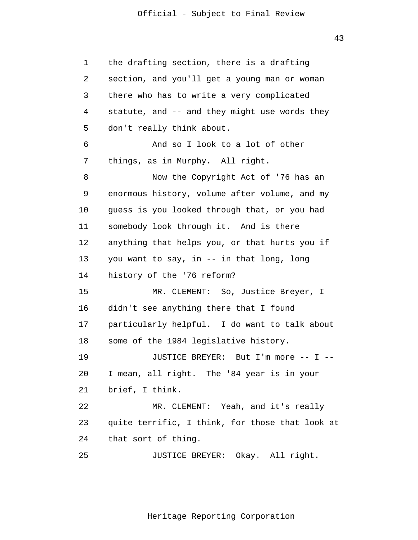43

 1 2 3 4 **5**  $\overline{6}$  7 8 9 10 11 12 13 14 15 16 17 18 19 20 21 22 23 24 25 the drafting section, there is a drafting section, and you'll get a young man or woman there who has to write a very complicated statute, and -- and they might use words they don't really think about. And so I look to a lot of other things, as in Murphy. All right. Now the Copyright Act of '76 has an enormous history, volume after volume, and my guess is you looked through that, or you had somebody look through it. And is there anything that helps you, or that hurts you if you want to say, in -- in that long, long history of the '76 reform? MR. CLEMENT: So, Justice Breyer, I didn't see anything there that I found particularly helpful. I do want to talk about some of the 1984 legislative history. JUSTICE BREYER: But I'm more -- I -- I mean, all right. The '84 year is in your brief, I think. MR. CLEMENT: Yeah, and it's really quite terrific, I think, for those that look at that sort of thing. JUSTICE BREYER: Okay. All right.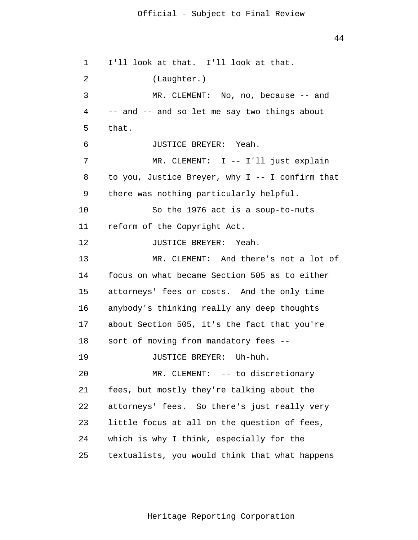44

 1 2 3 4 **5**  $\overline{6}$  7 8 9 10 11 12 13 14 15 16 17 18 19 20 21 22 23 24 25 I'll look at that. I'll look at that. (Laughter.) MR. CLEMENT: No, no, because -- and -- and -- and so let me say two things about that. JUSTICE BREYER: Yeah. MR. CLEMENT: I -- I'll just explain to you, Justice Breyer, why I -- I confirm that there was nothing particularly helpful. So the 1976 act is a soup-to-nuts reform of the Copyright Act. JUSTICE BREYER: Yeah. MR. CLEMENT: And there's not a lot of focus on what became Section 505 as to either attorneys' fees or costs. And the only time anybody's thinking really any deep thoughts about Section 505, it's the fact that you're sort of moving from mandatory fees -- JUSTICE BREYER: Uh-huh. MR. CLEMENT: -- to discretionary fees, but mostly they're talking about the attorneys' fees. So there's just really very little focus at all on the question of fees, which is why I think, especially for the textualists, you would think that what happens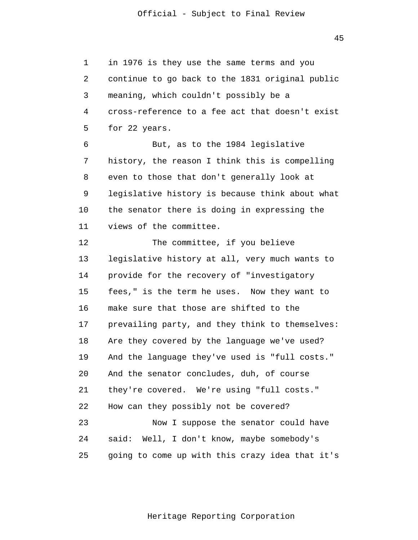1 2 3 4 **5**  $\overline{6}$  7 8 9 10 11 12 13 14 15 16 17 18 19 20 21 22 23 24 25 in 1976 is they use the same terms and you continue to go back to the 1831 original public meaning, which couldn't possibly be a cross-reference to a fee act that doesn't exist for 22 years. But, as to the 1984 legislative history, the reason I think this is compelling even to those that don't generally look at legislative history is because think about what the senator there is doing in expressing the views of the committee. The committee, if you believe legislative history at all, very much wants to provide for the recovery of "investigatory fees," is the term he uses. Now they want to make sure that those are shifted to the prevailing party, and they think to themselves: Are they covered by the language we've used? And the language they've used is "full costs." And the senator concludes, duh, of course they're covered. We're using "full costs." How can they possibly not be covered? Now I suppose the senator could have said: Well, I don't know, maybe somebody's going to come up with this crazy idea that it's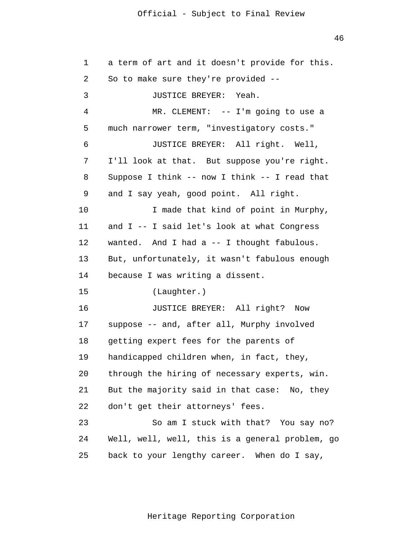46

| $\mathbf 1$ | a term of art and it doesn't provide for this.  |
|-------------|-------------------------------------------------|
| 2           | So to make sure they're provided --             |
| 3           | JUSTICE BREYER: Yeah.                           |
| 4           | MR. CLEMENT: $--$ I'm going to use a            |
| 5           | much narrower term, "investigatory costs."      |
| 6           | JUSTICE BREYER: All right. Well,                |
| 7           | I'll look at that. But suppose you're right.    |
| 8           | Suppose I think -- now I think -- I read that   |
| 9           | and I say yeah, good point. All right.          |
| 10          | I made that kind of point in Murphy,            |
| 11          | and I -- I said let's look at what Congress     |
| 12          | wanted. And I had a -- I thought fabulous.      |
| 13          | But, unfortunately, it wasn't fabulous enough   |
| 14          | because I was writing a dissent.                |
| 15          | (Laughter.)                                     |
| 16          | JUSTICE BREYER: All right?<br>Now               |
| 17          | suppose -- and, after all, Murphy involved      |
| 18          | getting expert fees for the parents of          |
| 19          | handicapped children when, in fact, they,       |
| 20          | through the hiring of necessary experts, win.   |
| 21          | But the majority said in that case: No, they    |
| 22          | don't get their attorneys' fees.                |
| 23          | So am I stuck with that? You say no?            |
| 24          | Well, well, well, this is a general problem, go |
| 25          | back to your lengthy career. When do I say,     |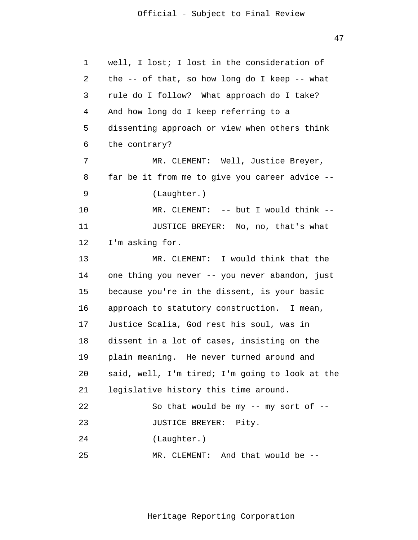47

| 1  | well, I lost; I lost in the consideration of    |
|----|-------------------------------------------------|
| 2  | the $-$ of that, so how long do I keep $-$ what |
| 3  | rule do I follow? What approach do I take?      |
| 4  | And how long do I keep referring to a           |
| 5  | dissenting approach or view when others think   |
| 6  | the contrary?                                   |
| 7  | MR. CLEMENT: Well, Justice Breyer,              |
| 8  | far be it from me to give you career advice --  |
| 9  | (Laughter.)                                     |
| 10 | MR. CLEMENT: -- but I would think --            |
| 11 | JUSTICE BREYER: No, no, that's what             |
| 12 | I'm asking for.                                 |
| 13 | MR. CLEMENT: I would think that the             |
| 14 | one thing you never -- you never abandon, just  |
| 15 | because you're in the dissent, is your basic    |
| 16 | approach to statutory construction. I mean,     |
| 17 | Justice Scalia, God rest his soul, was in       |
| 18 | dissent in a lot of cases, insisting on the     |
| 19 | plain meaning. He never turned around and       |
| 20 | said, well, I'm tired; I'm going to look at the |
| 21 | legislative history this time around.           |
| 22 | So that would be my $--$ my sort of $--$        |
| 23 | JUSTICE BREYER: Pity.                           |
| 24 | (Laughter.)                                     |
| 25 | MR. CLEMENT: And that would be --               |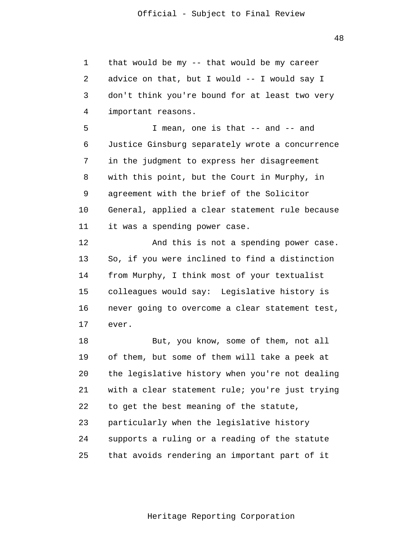1 2 3 4 that would be my -- that would be my career advice on that, but I would -- I would say I don't think you're bound for at least two very important reasons.

**5**  $\overline{6}$  7 8 9 10 11 I mean, one is that -- and -- and Justice Ginsburg separately wrote a concurrence in the judgment to express her disagreement with this point, but the Court in Murphy, in agreement with the brief of the Solicitor General, applied a clear statement rule because it was a spending power case.

> 12 13 14 15 16 17 And this is not a spending power case. So, if you were inclined to find a distinction from Murphy, I think most of your textualist colleagues would say: Legislative history is never going to overcome a clear statement test, ever.

> 18 19 20 21 22 23 24 25 But, you know, some of them, not all of them, but some of them will take a peek at the legislative history when you're not dealing with a clear statement rule; you're just trying to get the best meaning of the statute, particularly when the legislative history supports a ruling or a reading of the statute that avoids rendering an important part of it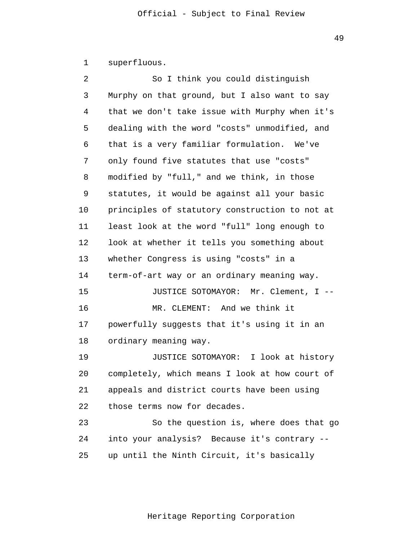1 superfluous.

| $\overline{a}$ | So I think you could distinguish               |
|----------------|------------------------------------------------|
| 3              | Murphy on that ground, but I also want to say  |
| 4              | that we don't take issue with Murphy when it's |
| 5              | dealing with the word "costs" unmodified, and  |
| 6              | that is a very familiar formulation. We've     |
| 7              | only found five statutes that use "costs"      |
| 8              | modified by "full," and we think, in those     |
| 9              | statutes, it would be against all your basic   |
| 10             | principles of statutory construction to not at |
| 11             | least look at the word "full" long enough to   |
| 12             | look at whether it tells you something about   |
| 13             | whether Congress is using "costs" in a         |
| 14             | term-of-art way or an ordinary meaning way.    |
| 15             | JUSTICE SOTOMAYOR: Mr. Clement, I --           |
| 16             | MR. CLEMENT: And we think it                   |
| 17             | powerfully suggests that it's using it in an   |
| 18             | ordinary meaning way.                          |
| 19             | JUSTICE SOTOMAYOR: I look at history           |
| 20             | completely, which means I look at how court of |
| 21             | appeals and district courts have been using    |
| 22             | those terms now for decades.                   |
| 23             | So the question is, where does that go         |
| 24             | into your analysis? Because it's contrary --   |
| 25             | up until the Ninth Circuit, it's basically     |

49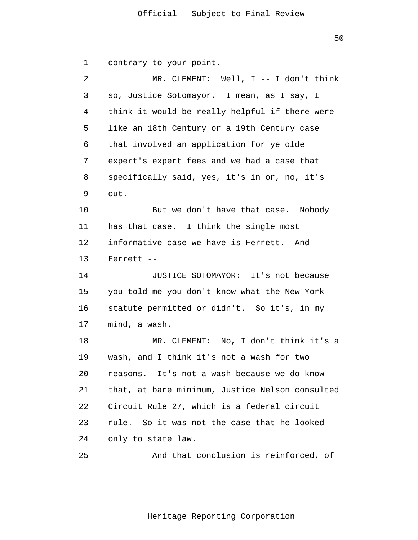50

 1 2 3 4 **5**  $\overline{6}$  7 8 9 10 11 12 13 14 15 16 17 18 19 20 21 22 23 contrary to your point. MR. CLEMENT: Well, I -- I don't think so, Justice Sotomayor. I mean, as I say, I think it would be really helpful if there were like an 18th Century or a 19th Century case that involved an application for ye olde expert's expert fees and we had a case that specifically said, yes, it's in or, no, it's out. But we don't have that case. Nobody has that case. I think the single most informative case we have is Ferrett. And Ferrett -- JUSTICE SOTOMAYOR: It's not because you told me you don't know what the New York statute permitted or didn't. So it's, in my mind, a wash. MR. CLEMENT: No, I don't think it's a wash, and I think it's not a wash for two reasons. It's not a wash because we do know that, at bare minimum, Justice Nelson consulted Circuit Rule 27, which is a federal circuit rule. So it was not the case that he looked

> 24 only to state law.

 25 And that conclusion is reinforced, of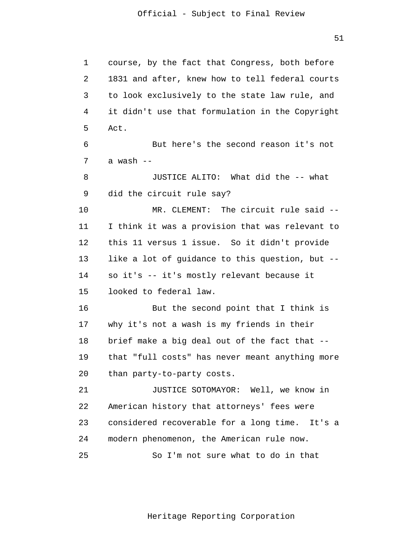```
 1 
 2 
 3 
 4 
5
 6 
 7 
 8 
 9 
            10 
            11 
            12 
            13 
            14 
            15 
            16 
            17 
            18 
            19 
            20 
            21 
            22 
            23 
            24 
            25 
                 course, by the fact that Congress, both before 
                 1831 and after, knew how to tell federal courts 
                 to look exclusively to the state law rule, and 
                 it didn't use that formulation in the Copyright 
                 Act. 
                          But here's the second reason it's not 
                 a wash --
                          JUSTICE ALITO: What did the -- what 
                 did the circuit rule say? 
                         MR. CLEMENT: The circuit rule said --
                 I think it was a provision that was relevant to 
                 this 11 versus 1 issue. So it didn't provide 
                 like a lot of guidance to this question, but --
                 so it's -- it's mostly relevant because it 
                 looked to federal law. 
                          But the second point that I think is 
                 why it's not a wash is my friends in their 
                 brief make a big deal out of the fact that --
                 that "full costs" has never meant anything more 
                 than party-to-party costs. 
                          JUSTICE SOTOMAYOR: Well, we know in 
                 American history that attorneys' fees were 
                 considered recoverable for a long time. It's a 
                 modern phenomenon, the American rule now. 
                          So I'm not sure what to do in that
```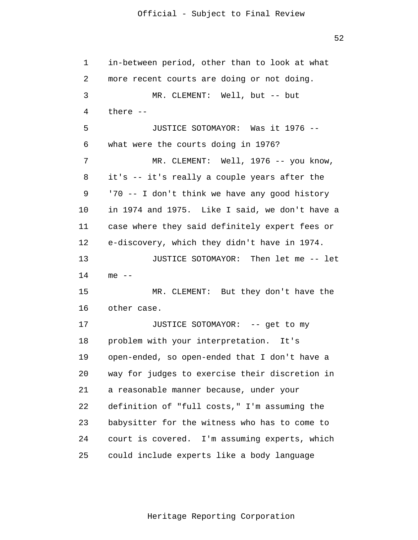52

 1 2 3 4 **5**  6 7 8 9 10 11 12 13 14 15 16 17 18 19 20 21 22 23 24 25 in-between period, other than to look at what more recent courts are doing or not doing. MR. CLEMENT: Well, but -- but there -- JUSTICE SOTOMAYOR: Was it 1976 - what were the courts doing in 1976? MR. CLEMENT: Well, 1976 -- you know, it's -- it's really a couple years after the '70 -- I don't think we have any good history in 1974 and 1975. Like I said, we don't have a case where they said definitely expert fees or e-discovery, which they didn't have in 1974. JUSTICE SOTOMAYOR: Then let me -- let  $me$   $-$ MR. CLEMENT: But they don't have the other case. JUSTICE SOTOMAYOR: -- get to my problem with your interpretation. It's open-ended, so open-ended that I don't have a way for judges to exercise their discretion in a reasonable manner because, under your definition of "full costs," I'm assuming the babysitter for the witness who has to come to court is covered. I'm assuming experts, which could include experts like a body language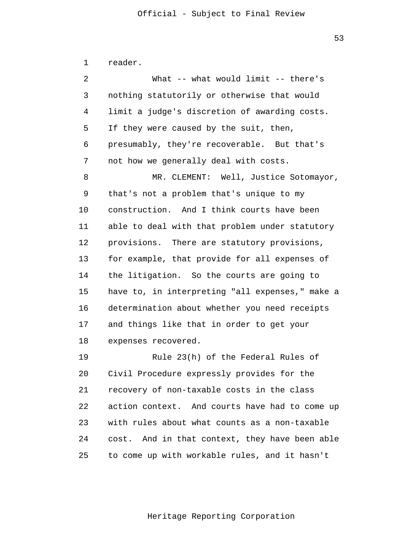1 2 3 4 **5**  6 7 8 9 10 11 12 13 14 15 16 17 18 19 20 21 22 23 24 25 reader. What -- what would limit -- there's nothing statutorily or otherwise that would limit a judge's discretion of awarding costs. If they were caused by the suit, then, presumably, they're recoverable. But that's not how we generally deal with costs. MR. CLEMENT: Well, Justice Sotomayor, that's not a problem that's unique to my construction. And I think courts have been able to deal with that problem under statutory provisions. There are statutory provisions, for example, that provide for all expenses of the litigation. So the courts are going to have to, in interpreting "all expenses," make a determination about whether you need receipts and things like that in order to get your expenses recovered. Rule 23(h) of the Federal Rules of Civil Procedure expressly provides for the recovery of non-taxable costs in the class action context. And courts have had to come up with rules about what counts as a non-taxable cost. And in that context, they have been able to come up with workable rules, and it hasn't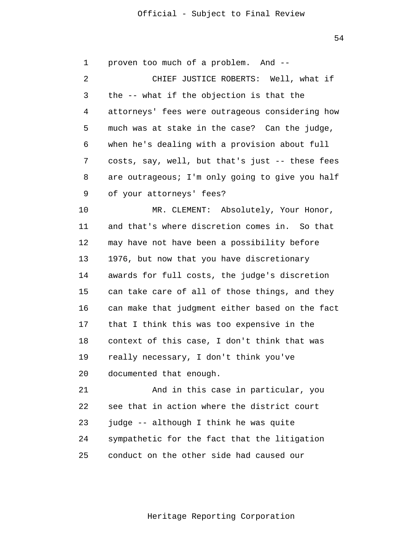54

 1 2 3 4 **5**  6 7 8 9 10 11 12 13 14 15 16 17 18 19 20 21 22 23 24 25 proven too much of a problem. And -- CHIEF JUSTICE ROBERTS: Well, what if the -- what if the objection is that the attorneys' fees were outrageous considering how much was at stake in the case? Can the judge, when he's dealing with a provision about full costs, say, well, but that's just -- these fees are outrageous; I'm only going to give you half of your attorneys' fees? MR. CLEMENT: Absolutely, Your Honor, and that's where discretion comes in. So that may have not have been a possibility before 1976, but now that you have discretionary awards for full costs, the judge's discretion can take care of all of those things, and they can make that judgment either based on the fact that I think this was too expensive in the context of this case, I don't think that was really necessary, I don't think you've documented that enough. And in this case in particular, you see that in action where the district court judge -- although I think he was quite sympathetic for the fact that the litigation conduct on the other side had caused our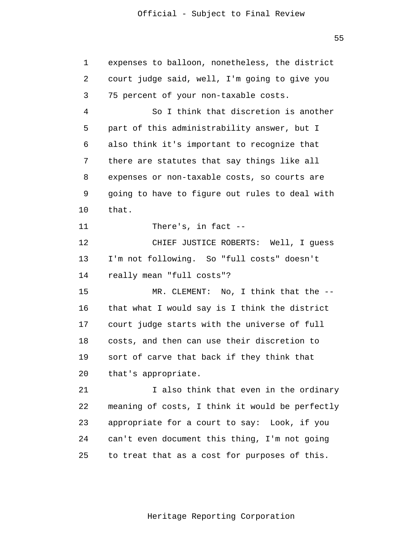$55$ 

| $\mathbf 1$ | expenses to balloon, nonetheless, the district  |
|-------------|-------------------------------------------------|
| 2           | court judge said, well, I'm going to give you   |
| 3           | 75 percent of your non-taxable costs.           |
| 4           | So I think that discretion is another           |
| 5           | part of this administrability answer, but I     |
| 6           | also think it's important to recognize that     |
| 7           | there are statutes that say things like all     |
| 8           | expenses or non-taxable costs, so courts are    |
| 9           | going to have to figure out rules to deal with  |
| 10          | that.                                           |
| 11          | There's, in fact --                             |
| 12          | CHIEF JUSTICE ROBERTS: Well, I guess            |
| 13          | I'm not following. So "full costs" doesn't      |
| 14          | really mean "full costs"?                       |
| 15          | MR. CLEMENT: No, I think that the --            |
| 16          | that what I would say is I think the district   |
| 17          | court judge starts with the universe of full    |
| 18          | costs, and then can use their discretion to     |
| 19          | sort of carve that back if they think that      |
| 20          | that's appropriate.                             |
| 21          | I also think that even in the ordinary          |
| 22          | meaning of costs, I think it would be perfectly |
| 23          | appropriate for a court to say: Look, if you    |
| 24          | can't even document this thing, I'm not going   |
| 25          | to treat that as a cost for purposes of this.   |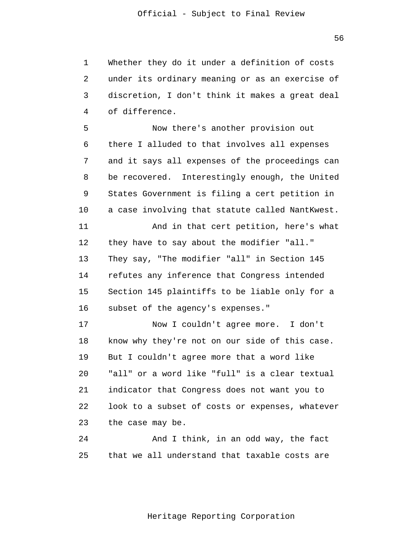1 2 3 4 Whether they do it under a definition of costs under its ordinary meaning or as an exercise of discretion, I don't think it makes a great deal of difference.

**5**  $\overline{6}$  7 8 9 10 11 12 13 14 15 16 Now there's another provision out there I alluded to that involves all expenses and it says all expenses of the proceedings can be recovered. Interestingly enough, the United States Government is filing a cert petition in a case involving that statute called NantKwest. And in that cert petition, here's what they have to say about the modifier "all." They say, "The modifier "all" in Section 145 refutes any inference that Congress intended Section 145 plaintiffs to be liable only for a subset of the agency's expenses."

> 17 18 19 20 21 22 23 Now I couldn't agree more. I don't know why they're not on our side of this case. But I couldn't agree more that a word like "all" or a word like "full" is a clear textual indicator that Congress does not want you to look to a subset of costs or expenses, whatever the case may be.

 24 25 And I think, in an odd way, the fact that we all understand that taxable costs are

 $56$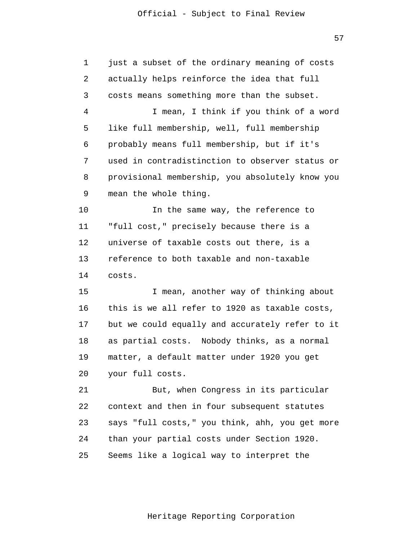1 2 3 4 **5**  $\overline{6}$  7 8 9 10 11 12 13 14 15 16 17 18 19 20 21 22 23 24 just a subset of the ordinary meaning of costs actually helps reinforce the idea that full costs means something more than the subset. I mean, I think if you think of a word like full membership, well, full membership probably means full membership, but if it's used in contradistinction to observer status or provisional membership, you absolutely know you mean the whole thing. In the same way, the reference to "full cost," precisely because there is a universe of taxable costs out there, is a reference to both taxable and non-taxable costs. I mean, another way of thinking about this is we all refer to 1920 as taxable costs, but we could equally and accurately refer to it as partial costs. Nobody thinks, as a normal matter, a default matter under 1920 you get your full costs. But, when Congress in its particular context and then in four subsequent statutes says "full costs," you think, ahh, you get more than your partial costs under Section 1920.

> 25 Seems like a logical way to interpret the

> > Heritage Reporting Corporation

57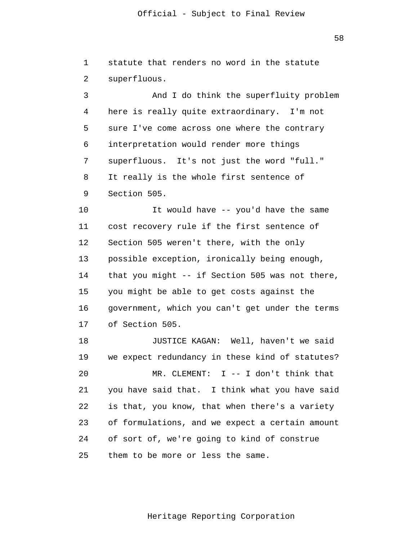1 2 3 4 **5**  $\overline{6}$  7 8 9 10 11 12 13 14 15 16 17 18 19 20 21 22 23 24 25 statute that renders no word in the statute superfluous. And I do think the superfluity problem here is really quite extraordinary. I'm not sure I've come across one where the contrary interpretation would render more things superfluous. It's not just the word "full." It really is the whole first sentence of Section 505. It would have -- you'd have the same cost recovery rule if the first sentence of Section 505 weren't there, with the only possible exception, ironically being enough, that you might -- if Section 505 was not there, you might be able to get costs against the government, which you can't get under the terms of Section 505. JUSTICE KAGAN: Well, haven't we said we expect redundancy in these kind of statutes? MR. CLEMENT: I -- I don't think that you have said that. I think what you have said is that, you know, that when there's a variety of formulations, and we expect a certain amount of sort of, we're going to kind of construe them to be more or less the same.

58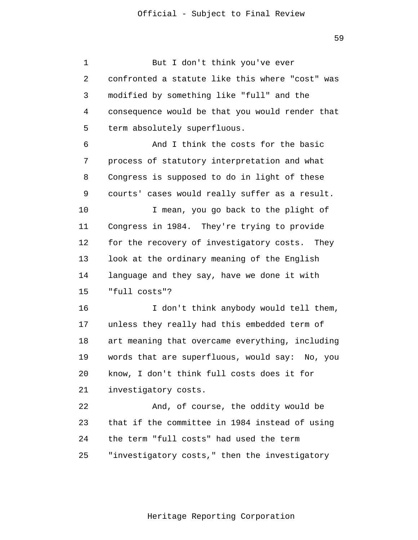1 2 3 4 **5**  6 7 8 9 10 11 12 13 14 15 16 17 18 19 20 21 22 23 24 25 But I don't think you've ever confronted a statute like this where "cost" was modified by something like "full" and the consequence would be that you would render that term absolutely superfluous. And I think the costs for the basic process of statutory interpretation and what Congress is supposed to do in light of these courts' cases would really suffer as a result. I mean, you go back to the plight of Congress in 1984. They're trying to provide for the recovery of investigatory costs. They look at the ordinary meaning of the English language and they say, have we done it with "full costs"? I don't think anybody would tell them, unless they really had this embedded term of art meaning that overcame everything, including words that are superfluous, would say: No, you know, I don't think full costs does it for investigatory costs. And, of course, the oddity would be that if the committee in 1984 instead of using the term "full costs" had used the term "investigatory costs," then the investigatory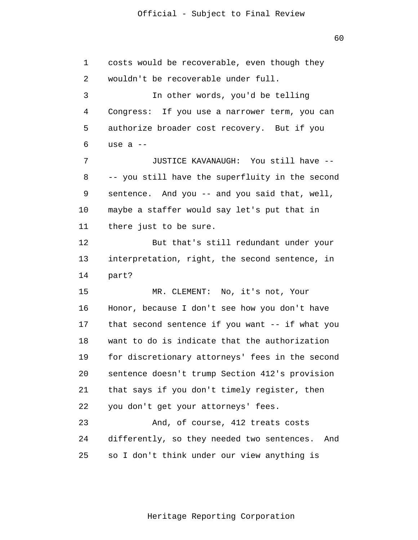1

2

3

4

**5** 

6

7

8

9

10

11

12

13

14

15

16

17

18

19

20

21

22

23

24

25

 60 costs would be recoverable, even though they wouldn't be recoverable under full. In other words, you'd be telling Congress: If you use a narrower term, you can authorize broader cost recovery. But if you use a -- JUSTICE KAVANAUGH: You still have -- -- you still have the superfluity in the second sentence. And you -- and you said that, well, maybe a staffer would say let's put that in there just to be sure. But that's still redundant under your interpretation, right, the second sentence, in part? MR. CLEMENT: No, it's not, Your Honor, because I don't see how you don't have that second sentence if you want -- if what you want to do is indicate that the authorization for discretionary attorneys' fees in the second sentence doesn't trump Section 412's provision that says if you don't timely register, then you don't get your attorneys' fees. And, of course, 412 treats costs differently, so they needed two sentences. And

so I don't think under our view anything is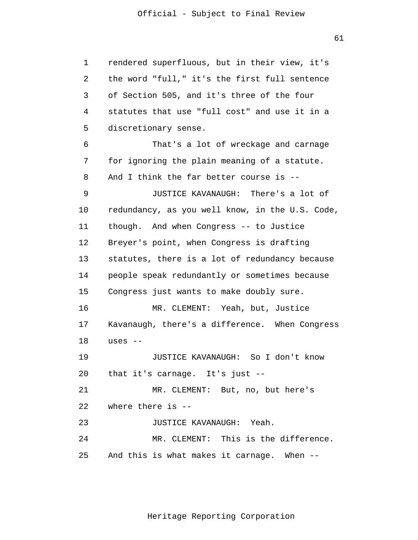1 2 3 4 **5**  6 7 8 9 10 11 12 13 14 15 16 17 18 19 20 21 22 23 24 25 rendered superfluous, but in their view, it's the word "full," it's the first full sentence of Section 505, and it's three of the four statutes that use "full cost" and use it in a discretionary sense. That's a lot of wreckage and carnage for ignoring the plain meaning of a statute. And I think the far better course is -- JUSTICE KAVANAUGH: There's a lot of redundancy, as you well know, in the U.S. Code, though. And when Congress -- to Justice Breyer's point, when Congress is drafting statutes, there is a lot of redundancy because people speak redundantly or sometimes because Congress just wants to make doubly sure. MR. CLEMENT: Yeah, but, Justice Kavanaugh, there's a difference. When Congress uses -- JUSTICE KAVANAUGH: So I don't know that it's carnage. It's just -- MR. CLEMENT: But, no, but here's where there is -- JUSTICE KAVANAUGH: Yeah. MR. CLEMENT: This is the difference. And this is what makes it carnage. When --

Heritage Reporting Corporation

61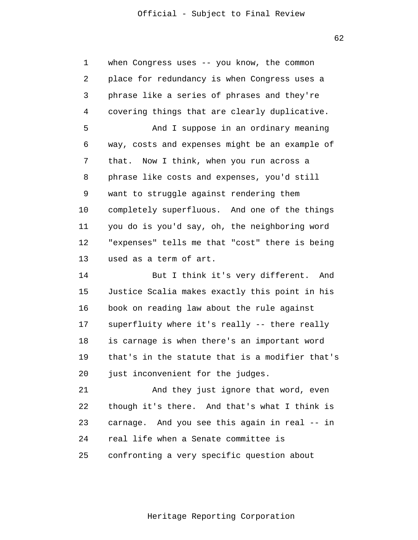$62$ 

| 1  | when Congress uses -- you know, the common      |
|----|-------------------------------------------------|
| 2  | place for redundancy is when Congress uses a    |
| 3  | phrase like a series of phrases and they're     |
| 4  | covering things that are clearly duplicative.   |
| 5  | And I suppose in an ordinary meaning            |
| 6  | way, costs and expenses might be an example of  |
| 7  | Now I think, when you run across a<br>that.     |
| 8  | phrase like costs and expenses, you'd still     |
| 9  | want to struggle against rendering them         |
| 10 | completely superfluous. And one of the things   |
| 11 | you do is you'd say, oh, the neighboring word   |
| 12 | "expenses" tells me that "cost" there is being  |
| 13 | used as a term of art.                          |
| 14 | But I think it's very different.<br>And         |
| 15 | Justice Scalia makes exactly this point in his  |
| 16 | book on reading law about the rule against      |
| 17 | superfluity where it's really -- there really   |
| 18 | is carnage is when there's an important word    |
| 19 | that's in the statute that is a modifier that's |
| 20 | just inconvenient for the judges.               |
| 21 | And they just ignore that word, even            |
| 22 | though it's there. And that's what I think is   |
| 23 | carnage. And you see this again in real -- in   |
| 24 | real life when a Senate committee is            |
| 25 | confronting a very specific question about      |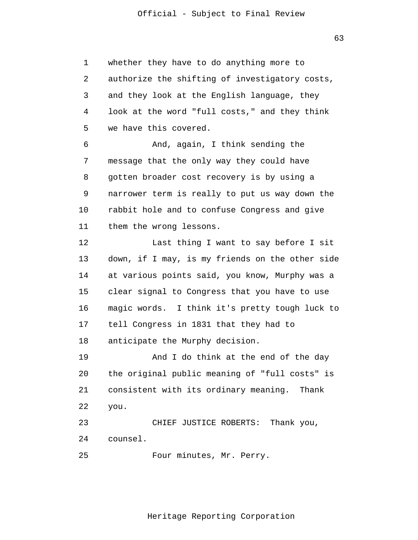1 2 3 4 **5**  $\overline{6}$  7 8 9 10 11 12 13 14 15 16 17 18 19 20 21 22 23 24 whether they have to do anything more to authorize the shifting of investigatory costs, and they look at the English language, they look at the word "full costs," and they think we have this covered. And, again, I think sending the message that the only way they could have gotten broader cost recovery is by using a narrower term is really to put us way down the rabbit hole and to confuse Congress and give them the wrong lessons. Last thing I want to say before I sit down, if I may, is my friends on the other side at various points said, you know, Murphy was a clear signal to Congress that you have to use magic words. I think it's pretty tough luck to tell Congress in 1831 that they had to anticipate the Murphy decision. And I do think at the end of the day the original public meaning of "full costs" is consistent with its ordinary meaning. Thank you. CHIEF JUSTICE ROBERTS: Thank you, counsel.

> 25 Four minutes, Mr. Perry.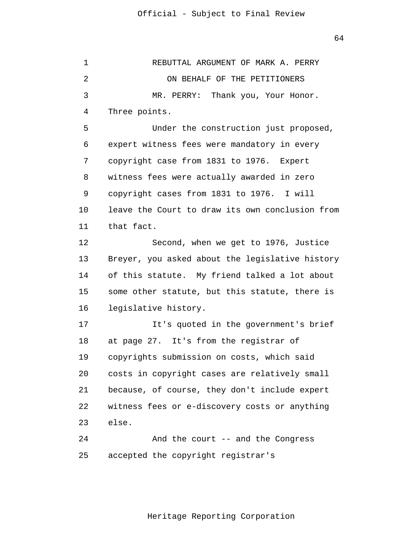| 1  | REBUTTAL ARGUMENT OF MARK A. PERRY              |
|----|-------------------------------------------------|
| 2  | ON BEHALF OF THE PETITIONERS                    |
| 3  | MR. PERRY: Thank you, Your Honor.               |
| 4  | Three points.                                   |
| 5  | Under the construction just proposed,           |
| 6  | expert witness fees were mandatory in every     |
| 7  | copyright case from 1831 to 1976. Expert        |
| 8  | witness fees were actually awarded in zero      |
| 9  | copyright cases from 1831 to 1976. I will       |
| 10 | leave the Court to draw its own conclusion from |
| 11 | that fact.                                      |
| 12 | Second, when we get to 1976, Justice            |
| 13 | Breyer, you asked about the legislative history |
| 14 | of this statute. My friend talked a lot about   |
| 15 | some other statute, but this statute, there is  |
| 16 | legislative history.                            |
| 17 | It's quoted in the government's brief           |
| 18 | at page 27. It's from the registrar of          |
| 19 | copyrights submission on costs, which said      |
| 20 | costs in copyright cases are relatively small   |
| 21 | because, of course, they don't include expert   |
| 22 | witness fees or e-discovery costs or anything   |
| 23 | else.                                           |
| 24 | And the court -- and the Congress               |
| 25 | accepted the copyright registrar's              |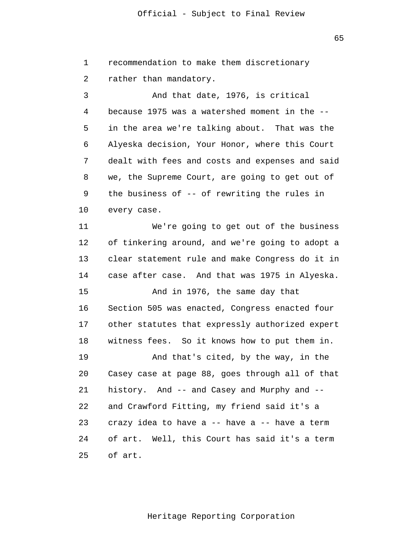$65$ 

 1 2 3 4 **5**  $\overline{6}$  7 8 9 10 11 12 13 14 15 16 17 18 19 20 21 22 23 24 25 recommendation to make them discretionary rather than mandatory. And that date, 1976, is critical because 1975 was a watershed moment in the - in the area we're talking about. That was the Alyeska decision, Your Honor, where this Court dealt with fees and costs and expenses and said we, the Supreme Court, are going to get out of the business of -- of rewriting the rules in every case. We're going to get out of the business of tinkering around, and we're going to adopt a clear statement rule and make Congress do it in case after case. And that was 1975 in Alyeska. And in 1976, the same day that Section 505 was enacted, Congress enacted four other statutes that expressly authorized expert witness fees. So it knows how to put them in. And that's cited, by the way, in the Casey case at page 88, goes through all of that history. And -- and Casey and Murphy and - and Crawford Fitting, my friend said it's a crazy idea to have a -- have a -- have a term of art. Well, this Court has said it's a term of art.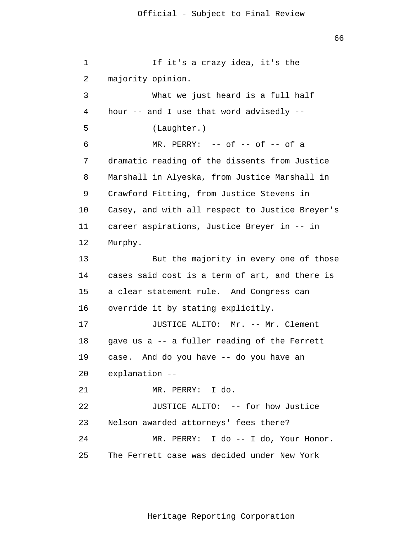```
 1 
 2 
 3 
 4 
5
\overline{6} 7 
 8 
 9 
            10 
            11 
            12 
            13 
            14 
            15 
            16 
            17 
            18 
            19 
            20 
            21 
            22 
            23 
            24 
            25 
                          If it's a crazy idea, it's the 
                 majority opinion. 
                          What we just heard is a full half 
                 hour -- and I use that word advisedly --
                          (Laughter.) 
                          MR. PERRY: -- of -- of -- of a
                 dramatic reading of the dissents from Justice 
                 Marshall in Alyeska, from Justice Marshall in 
                 Crawford Fitting, from Justice Stevens in 
                 Casey, and with all respect to Justice Breyer's 
                 career aspirations, Justice Breyer in -- in 
                 Murphy. 
                          But the majority in every one of those 
                 cases said cost is a term of art, and there is 
                 a clear statement rule. And Congress can 
                 override it by stating explicitly. 
                          JUSTICE ALITO: Mr. -- Mr. Clement 
                 gave us a -- a fuller reading of the Ferrett 
                 case. And do you have -- do you have an 
                 explanation --
                          MR. PERRY: I do. 
                          JUSTICE ALITO: -- for how Justice 
                 Nelson awarded attorneys' fees there? 
                          MR. PERRY: I do -- I do, Your Honor. 
                 The Ferrett case was decided under New York
```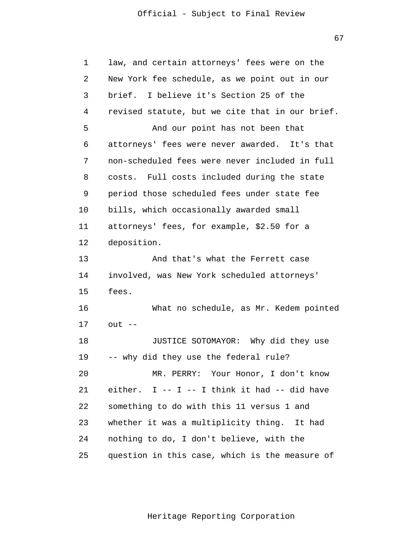67

| 1  | law, and certain attorneys' fees were on the    |
|----|-------------------------------------------------|
| 2  | New York fee schedule, as we point out in our   |
| 3  | I believe it's Section 25 of the<br>brief.      |
| 4  | revised statute, but we cite that in our brief. |
| 5  | And our point has not been that                 |
| 6  | attorneys' fees were never awarded. It's that   |
| 7  | non-scheduled fees were never included in full  |
| 8  | costs. Full costs included during the state     |
| 9  | period those scheduled fees under state fee     |
| 10 | bills, which occasionally awarded small         |
| 11 | attorneys' fees, for example, \$2.50 for a      |
| 12 | deposition.                                     |
| 13 | And that's what the Ferrett case                |
| 14 | involved, was New York scheduled attorneys'     |
| 15 | fees.                                           |
| 16 | What no schedule, as Mr. Kedem pointed          |
| 17 | $out$ --                                        |
| 18 | JUSTICE SOTOMAYOR: Why did they use             |
| 19 | -- why did they use the federal rule?           |
| 20 | MR. PERRY: Your Honor, I don't know             |
| 21 | either. I -- I -- I think it had -- did have    |
| 22 | something to do with this 11 versus 1 and       |
| 23 | whether it was a multiplicity thing.<br>It had  |
| 24 | nothing to do, I don't believe, with the        |
| 25 | question in this case, which is the measure of  |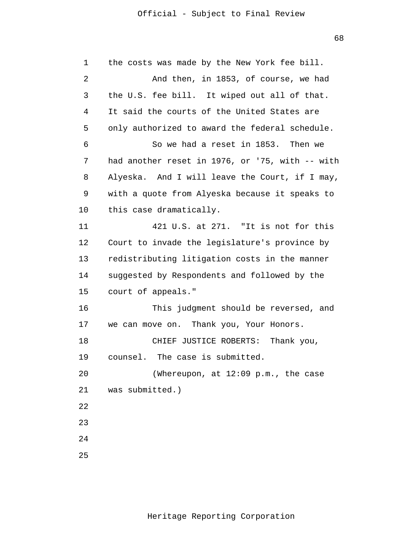$68<sup>th</sup>$ 

| $\mathbf 1$ | the costs was made by the New York fee bill.    |
|-------------|-------------------------------------------------|
| 2           | And then, in 1853, of course, we had            |
| 3           | the U.S. fee bill. It wiped out all of that.    |
| 4           | It said the courts of the United States are     |
| 5           | only authorized to award the federal schedule.  |
| 6           | So we had a reset in 1853. Then we              |
| 7           | had another reset in 1976, or '75, with -- with |
| 8           | Alyeska. And I will leave the Court, if I may,  |
| 9           | with a quote from Alyeska because it speaks to  |
| $10 \,$     | this case dramatically.                         |
| 11          | 421 U.S. at 271. "It is not for this            |
| 12          | Court to invade the legislature's province by   |
| 13          | redistributing litigation costs in the manner   |
| 14          | suggested by Respondents and followed by the    |
| 15          | court of appeals."                              |
| 16          | This judgment should be reversed, and           |
| 17          | we can move on. Thank you, Your Honors.         |
| 18          | CHIEF JUSTICE ROBERTS:<br>Thank you,            |
| 19          | counsel. The case is submitted.                 |
| 20          | (Whereupon, at 12:09 p.m., the case             |
| 21          | was submitted.)                                 |
| 22          |                                                 |
| 23          |                                                 |
| 24          |                                                 |
| 25          |                                                 |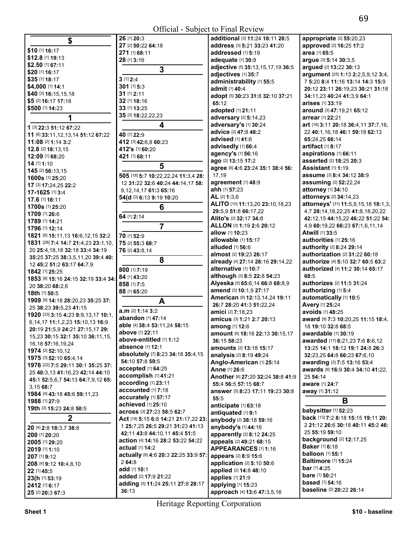| \$                                     | 26 [1] 20:3                          | additional [3] 11:24 18:11 28:5                   | appropriate [2] 55:20                         |
|----------------------------------------|--------------------------------------|---------------------------------------------------|-----------------------------------------------|
|                                        | 27 [2] 50:22 64:18                   | address [3] 5:21 33:23 41:20                      | approved [2] 16:25 17                         |
| \$10 [1] 16:17                         | 271 [1] 68:11                        | addressed [1] 5:19                                | area [1] 65:5                                 |
| \$12.8 [1] 19:13                       | 28 [1] 3:16                          | adequate [1] 30:8                                 | argue [3] 5:14 30:3,5                         |
| \$2.50 [1] 67:11                       | 3                                    | adjective [5] 35:13,15,17,19 36:5                 | argued [2] 13:22 30:13                        |
| \$20 [1] 16:17                         |                                      | adjectives [1] 35:7                               | argument [25] 1:13 2:                         |
| \$35 [1] 18:17                         | $3$ [1] $2:4$                        | administrability [1] 55:5                         | 7 5:20 8:4 11:16 13:1                         |
| \$4,000 [1] 14:1                       | $301$ [1] 5:3                        | admit [1] 40:4                                    | 20:12 23:11 26:19,23                          |
| \$40 [3] 16:15,15,18                   | 31 [1] 2:11                          | adopt [5] 30:23 31:8 32:10 37:21                  | 34:11,23 40:24 41:3,9                         |
| \$5 [2] 16:17 17:18                    | 32 [1] 18:16                         | 65:12                                             | arises [1] 33:19                              |
| \$500 [1] 14:23                        | 33 [1] 13:25                         | adopted [1] 21:11                                 | around [3] 47:19,21 6                         |
| 1                                      | 35 [3] 18:22,22,23                   | adversary [2] 5:14,23                             | arrear [1] 22:21                              |
| 1 [3] 22:3 51:12 67:22                 | 4                                    | adversary's [1] 30:24                             | art [16] 3:11 20:18 36:4                      |
| 11 [6] 33:11, 12, 13, 14 51: 12 67: 22 | 40 [1] 22:9                          | advice [2] 47:8 48:2                              | 22 40:1,16,18 46:1 59                         |
| 11:08 [2] 1:14 3:2                     | 412 [3] 42:6,8 60:23                 | advised [1] 41:6                                  | 65:24,25 66:14                                |
| 12.8 [2] 18:13,15                      | 412's [1] 60:20                      | advisedly [1] 66:4                                | artifact [1] 8:17                             |
| 12:09 [1] 68:20                        | 421 [1] 68:11                        | agency's [1] 56:16                                | aspirations [1] 66:11                         |
| 14 [1] 1:10                            |                                      | ago [2] 13:15 17:2                                | asserted [2] 18:25 20:                        |
| 145 [2] 56:13,15                       | 5                                    | agree [6] 4:6 23:24 35:1 38:4 56:                 | Assistant [1] 1:19                            |
| 1600s [1] 25:20                        | 505 [18] 5:7 10:22,22,24 11:3,4 28:  | 17,19                                             | <b>assume</b> [3] 8:4 34:12                   |
| 17 [3] 17:24,25 22:2                   | 12 31:22 32:6 40:24 44:14,17 58:     | agreement [1] 48:9                                | assuming [2] 52:22,24                         |
| 17-1625 [1] 3:4                        | 9,12,14,17 61:3 65:16                | ahh [1] 57:23                                     | attorney [1] 34:10                            |
| 17.6 [1] 18:11                         | 54(d [3] 6:13 9:19 10:20             | AL [2] 1:3,6                                      | attorneys [2] 34:14,23                        |
| 1700s [1] 25:20                        | 6                                    | ALITO [10] 11:13,20 23:10,18,23                   | attorneys' [31] 11:5,9,                       |
| 1709 [1] 26:6                          |                                      | 29:5.9 51:8 66:17.22                              | 4,7 28:14, 18, 22, 25 41                      |
| 1789 [1] 14:21                         | 64 [1] 2:14                          | Alito's [2] 32:17 34:8                            | 42:12,15 44:15,22 46:                         |
| 1796 [1] 12:14                         | $\overline{7}$                       | ALLON [3] 1:19 2:6 20:12                          | 4,9 60:19,22 66:23 67                         |
| 1821 [6] 15:11,13 16:6,12,15 32:2      | 70 [1] 52:9                          | allow [1] 10:23                                   | <b>Atwill [1] 33:5</b>                        |
| 1831 [26] 7:4 14:7 21:4,23 23:1,10,    | 75 [2] 55:3 68:7                     | allowable [1] 15:17                               | authorities [1] 25:16                         |
| 20 25:4, 18, 18 32: 18 33: 4 34: 19    | 76 [2] 43:8,14                       | alluded [1] 56:6                                  | authority [2] 8:24 29:1                       |
| 35:25 37:25 38:3,5,11,20 39:4 40:      | 8                                    | almost [2] 19:23 26:17                            | authorization [2] 31:2                        |
| 12 45:2 51:2 63:17 64:7,9              |                                      | already [4] 27:14 28:16 29:14,22                  | authorize [4] 5:10 32:                        |
| 1842 [1] 25:25                         | 800 [1] 7:19                         | alternative [1] 10:7                              | authorized [4] 11:2 30                        |
| 1853 [8] 15:16 24:15 32:19 33:4 34:    | 84 [1] 43:20                         | although [3] 8:5 22:8 54:23                       | 68:5                                          |
| 20 38:20 68:2,6                        | 858 [1] 7:5                          | Alyeska [5] 65:6,14 66:8 68:8,9                   | authorizes [2] 11:5 31                        |
| 18th [1] 50:5                          | 88 [1] 65:20                         | amend [3] 10:1,9 27:17                            | authorizing [1] 5:4                           |
| 1909 [9] 14:18 28:20,23 35:25 37:      | A                                    | American [9] 12:13,14,24 19:11                    | automatically [1] 10:                         |
| 25 38:23 39:5,23 41:15                 | a.m [2] 1:14 3:2                     | 26:7 28:20 41:3 51:22,24                          | Avery [1] 25:24                               |
| 1920 [33] 3:15 4:23 9:9,13,17 10:1,    | abandon [1] 47:14                    | amici [2] 7:18,23                                 | avoids [1] 48:25                              |
| 6,14,17 11:1,2,23 15:10,13 16:9        | able [4] 38:4 53:11,24 58:15         | amicus [3] 1:21 2:7 20:13                         | award [9] 7:3 10:20,25                        |
| 20:19 21:5,9 24:21 27:15,17 29:        | above [1] 22:11                      | among [1] 12:6<br>amount [6] 18:16 22:13 30:15,17 | 18 19:10 32:8 68:5<br>awardable [1] 30:19     |
| 15,23 30:15 32:1 35:10 36:11,15,       | above-entitled [1] 1:12              | 36:15 58:23                                       |                                               |
| 16, 18 57: 16, 19, 24                  | absence [1] 12:1                     | <b>amounts</b> [2] 13:18 15:17                    | awarded [17] 6:21,23<br>13:25 14:1 18:12 19:1 |
| 1974 [2] 52:10,12                      | absolutely [7] 8:23 34:18 35:4,15    | analysis [2] 8:19 49:24                           | 32:23,25 64:8 66:23 6                         |
| 1975 [3] 52:10 65:4,14                 | 54:10 57:8 59:5                      | Anglo-American [1] 25:14                          | awarding [3] 7:5 13:1                         |
| 1976 [22] 7:5 29:11 30:1 35:25 37:     | accepted [1] 64:25                   | Anne [1] 26:6                                     | awards [6] 16:9 30:4 3                        |
| 25 40:3,13 41:16,23 42:14 44:10        | accomplish [1] 41:21                 | Another [8] 27:20 32:24 38:8 41:9                 | 25 54:14                                      |
| 45:1 52:5,6,7 54:13 64:7,9,12 65:      | according [1] 23:11                  | 55:4 56:5 57:15 68:7                              | aware [1] 24:7                                |
| 3,15 68:7                              | accounted [1] 7:18                   | answer [5] 8:23 17:11 19:23 30:8                  | away [1] 31:12                                |
| 1984 [4] 43:18 45:6 59:11,23           | accurately [1] 57:17                 | 55:5                                              |                                               |
| 1988 [1] 27:9                          | achieved [1] 25:10                   | anticipate [1] 63:18                              | В                                             |
| 19th [3] 15:23 24:8 50:5               | across [3] 27:23 58:5 62:7           | antiquated [1] 9:1                                | babysitter [1] 52:23                          |
| $\boldsymbol{2}$                       | Act [18] 5:15 6:8 14:21 21:17,22 23: | anybody [2] 38:18 59:16                           | back [13] 7:2 8:18 15:1                       |
| 20 [4] 2:8 18:3,7 38:8                 | 1 25:7,25 26:5 29:21 31:23 41:13     | anybody's [1] 44:16                               | 2 21:12 26:6 30:18 40                         |
| 200 [1] 20:20                          | 42:11 43:8 44:10,11 45:4 51:5        | apparently [2] 8:12 24:25                         | 25 55:19 59:10                                |
| 2005 [1] 29:20                         | action [4] 14:16 28:2 53:22 54:22    | appeals [2] 49:21 68:15                           | background [2] 12:17                          |
| 2019 [1] 1:10                          | actual [1] 14:2                      | <b>APPEARANCES</b> [1] 1:16                       | <b>Baker</b> [1] 6:18                         |
| 207 [1] 9:12                           | actually [6] 4:6 20:3 22:25 33:9 57: | appears [2] 8:9 15:6                              | <b>balloon</b> [1] <b>55:1</b>                |
| 208 [4] 9:12 10:4,8,10                 | 264:8                                | application [2] 5:10 50:6                         | <b>Baltimore</b> [1] <b>15:24</b>             |
| 22 [1] 45:5                            | add [1] 10:1                         | applied [2] 14:8 48:10                            | <b>bar</b> [1] <b>4:25</b>                    |
| 23(h [1] 53:19                         | added [2] 17:9 21:22                 | applies [1] 21:9                                  | <b>bare</b> [1] <b>50:21</b>                  |
| 2412 [1] 6:17                          | adding [5] 11:24 25:11 27:8 28:17    | applying [1] 15:23                                | <b>based</b> [1] <b>54:16</b>                 |
|                                        | 36.13                                | $MRAO$ $M3.0.47.257$                              | <b>baseline</b> [2] 20:22 26:                 |

**additional** [3] **11:**24 **18:**11 **28:**5 **address** [3] **5:**21 **33:**23 **41:**20 **\$10** [1] **16:**17 **271** [1] **68:**11 **addressed** [1] **5:**19 **area** [1] **65:**<sup>5</sup> **\$20** [1] **16:**17 **3 adjective** [5] **35:**13,15,17,19 **36:**<sup>5</sup> **adjectives** [1] **35:**7 adjectives [1] 35:7<br>
administrability [1] 55:5<br>
administrability [1] 55:5<br>
administrability [1] 55:5<br>
administrability [1] 55:5<br>
administrability [1] 55:5<br>
administrability [1] 55:5<br>
administrability [1] 55:5<br>
administrab  $\begin{array}{|c|c|c|c|c|}\n 15.3 & 30:21 & 31:18 \\
 \hline\n 140:4 & 32:11 & 26:19,23 & 30:21 & 31:18 \\
 \hline\n 20:12 & 32:10 & 27:21 & 34:14 & 23:40:24 & 44:2 & 9:54:1\n \end{array}$ **\$40** [3] **16:**15,15,18 **31** [1] **2:**11 **adopt** [5] **30:**23 **31:**8 **32:**10 **37:**21 **34:**11,23 **40:**24 **41:**3,9 **64:**<sup>1</sup> **8:25 3:25 adopted** [1] **21:11 and around [3] <b>47:**19,21 **65:12 around** [3] **47:**19,21 **65:12 1 1 adversary** [2] **5:14,23 adversary** [2] **5:14,23 adversary's** [1] **30:24 arrear** [1] **3:11 20: 1art**  $[16]$  **3:**11 **20:18 36:4,11 <b>37:7,16,**<br>**1 advice**  $[2]$  **47:8 48:2 b 22:40:1.16.18 46:1 59:18 62:13 12:9**<br>**110 advice** [2] **47:8 <b>48:2 dvised** [1] **41:6 65:24.25 <b>66:14 67:24.25 66:14 agree** [6] **4:**6 **23:**24 **35:**1 **38:**4 **56: 1600s** [1] **25:**20 **505** [18] **5:**7 **10:**22,22,24 **11:**3,4 **28:** 17,19 **assume** [3] **8:**4 **34:**12 **38:**<sup>9</sup> **<sup>17</sup>**[3] **17:**24,25 **22:**2 12 **31:**22 **32:**6 **40:**24 **44:**14,17 **58: agreement** [1] **48:**9 **assuming** [2] **52:**22,24 **17.6** [1] **18:**11 **54(d** [3] **6:**13 **9:**19 **10:**20 **AL** [2] **1:**3,6 **attorneys** [2] **34:**14,23 **ALITO** [10] **11:**13,20 **23:**10,18,23 **29:**5,9 **51:**8 **66:**17,22 **Alito's** [2] **32:**17 **34:**8 **17**<br>**11 110:**23 **11:19 <b>11:19 12:6 12:12 12:14 12:14 12:14 14:14 14:14 14:14 14:14 14:14 14:14 14:14 14:14 14:14 14:14 14:14 14:14 14:14 14:14 14:14 14:14 14:14 14:14 14:1** <sup>20</sup>**25:**4,18,18 **32:**18 **33:**4 **34:**19 **76** [2] **43:**8,14 **alluded** [1] **56:**6 **authority** [2] **8:**24 **29:**<sup>14</sup> **almost** [2] **19:**23 **26:**17 **already** [4] **27:**14 **28:**16 **29:**14,22 **<sup>1842</sup>**[1] **25:**25 **800** [1] **7:**19 **alternative** [1] **10:**7 **authorized** [4] **11:**2 **30:**14 **65:**<sup>17</sup> **<sup>1853</sup>**[8] **15:**16 **24:**15 **32:**19 **33:**4 **34: 84** [1] **43:**20 **although** [3] **8:**5 **22:**8 **54:**23 **68:**<sup>5</sup> <sup>20</sup>**38:**20 **68:**2,6 **858** [1] **7:**5 **Alyeska** [5] **65:**6,14 **66:**8 **68:**8,9 **authorizes** [2] **11:**5 **31:**<sup>24</sup> **American** [9] **12:**13,14,24 **19:**11 **26:**7 **28:**20 **41:**3 **51:**22,24 **amici** [2] **7:**18,23 **amicus** [3] **1:**21 **2:**7 **20:**13 **among** [1] **12:**6 **amount** [6] **18:**16 **22:**13 **30:**15,17 **36:**15 **58:**23 **amounts** [2] **13:**18 **15:**17 **analysis** [2] **8:**19 **49:**24 **Anglo-American** [1] **25:**14 **Anne** [1] **26:**6 **Another** [8] **27:**20 **32:**24 **38:**8 **41:**9 **55:**4 **56:**5 **57:**15 **68:**7 **answer** [5] **8:**23 **17:**11 **19:**23 **30:**8 **55:**5 **anticipate** [1] **63:**18 **antiquated** [1] **9:**1 **2 Act** [18] **5:**15 **6:**8 **14:**21 **21:**17,22 **23: anybody** [2] **38:**18 **59:**16 **back** [13] **7:**2 **8:**18 **15:**15 **19:**11 **20: 20** [4] **2:**8 **18:**3,7 **38:**8 1 **25:**7,25 **26:**5 **29:**21 **31:**23 **41:**13 **anybody's** [1] **44:**16 2 **21:**12 **26:**6 **30:**18 **40:**11 **45:**2 **46: 200** [1] **20:**20 **42:**11 **43:**8 **44:**10,11 **45:**4 **51:**5 **apparently** [2] **8:**12 **24:**25 25 **55:**19 **59:**<sup>10</sup> **<sup>2005</sup>**[1] **29:**20 **action** [4] **14:**16 **28:**2 **53:**22 **54:**22 **appeals** [2] **49:**21 **68:**15 **background** [2] **12:**17,25 **2019 2019 THE ARANCES 1911:16 Baker <b>EMPEARANCES 11:16 Baker EMPEARANCES B**<br>**Balloon [1] 55:1 <sup>207</sup>**[1] **9:**12 **actually** [6] **4:**6 **20:**3 **22:**25 **33:**9 **57: appears** [2] **8:**9 **15:**6 **balloon** [1] **55:**<sup>1</sup> **<sup>208</sup>**[4] **9:**12 **10:**4,8,10 2 **64:**8 **application** [2] **5:**10 **50:**6 **Baltimore** [1] **15:**<sup>24</sup> **22**  $\frac{1}{2}$  **applied**  $\frac{2}{14:8}$  **48:**10 **bar**  $\frac{1}{4}:25$ <br>**23 bare** <sup>[1]</sup> **50:**21 **bare** [1] **50:21 24125:11 27:8 28:17 applying** [1] **15:**23 **based** [1] **54:16 based** [2] **20:22 26:14** 

**appropriate** [2] **55:**20,23 **approved** [2] **16:**25 **17:**2 **argued** [2] **13:**22 **30:**13 **asserted** [2] **18:**25 **20:**3 **Assistant** [1] **1:**19 **attorneys'** [31] **11:**5,9,15,18 **18:**1,3, 4,7 **28:**14,18,22,25 **41:**8,18,20,22 **42:**12,15 **44:**15,22 **46:**22 **51:**22 **54: authorization** [2] **31:**22 **60:**18 **authorize** [4] **5:**10 **32:**7 **60:**5 **63:**2 **automatically** [1] **10:**5 **Avery** [1] **25:**24 **avoids** [1] **48:**25 **award** [9] **7:**3 **10:**20,25 **11:**15 **18:**4, 18 **19:**10 **32:**8 **68:**5 **awardable** [1] **30:**19 **awarded** [17] **6:**21,23 **7:**6 **8:**6,12 **13:**25 **14:**1 **18:**12 **19:**1 **24:**8 **26:**3 **32:**23,25 **64:**8 **66:**23 **67:**6,10 **awarding** [3] **7:**5 **13:**16 **53:**4 **awards** [6] **16:**9 **30:**4 **34:**10 **41:**22, 25 **54:**14 **aware** [1] **24:**7 **away** [1] **31:**12 **B babysitter** [1] **52:**23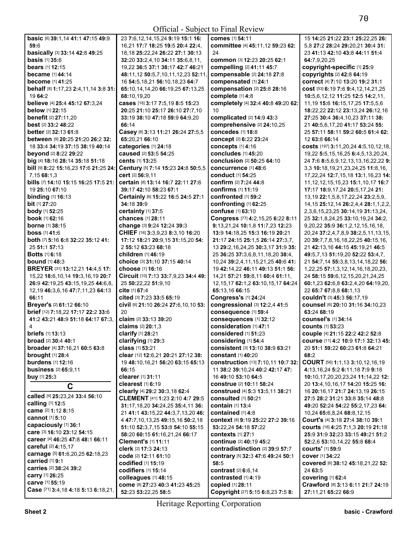| basic [6] 39:1,14 41:1 47:15 49:9        | 23 7:6, 12, 14, 15, 24 9: 19 15: 1 16: | comes [1] 54:11                           | 15 14:25 21:22 23:1 25:22,25 26:              |
|------------------------------------------|----------------------------------------|-------------------------------------------|-----------------------------------------------|
| 59:6                                     | 16,21 17:7 18:25 19:5 20:4 22:4,       | committee [4] 45:11,12 59:23 62:          | 5.8 27:2 28:24 29:20.21 30:4 31:              |
| basically [3] 33:14 42:8 49:25           | 18, 18 25:22, 24 26:22 27:1 30:13      | 24                                        | 23 41:13 42:10 43:8 44:11 51:4                |
| <b>basis</b> [1] 35:6                    | 32:20 33:2,4,10 34:11 35:6,8,11,       | common [3] 12:23 20:25 62:1               | 64:7,9,20,25                                  |
| <b>bears</b> [1] <b>12:15</b>            | 19.22 36:5 37:1 38:17 42:7 46:21       | compelling [2] 41:11 45:7                 | copyright-specific [1] 25:9                   |
| <b>became</b> [1] 44:14                  | 48:11,12 50:5,7,10,11,12,23 52:11,     | compensable [2] 24:18 27:8                | copyrights [2] 42:8 64:19                     |
| <b>become</b> [1] 41:25                  | 16 54:5, 18, 21 56: 10, 18, 23 64: 7   | compensated [1] 24:1                      | correct [4] 7:10 13:20 19:2 31:1              |
| behalf [8] 1:17,23 2:4,11,14 3:8 31:     | 65:10,14,14,20 66:19,25 67:13,25       | compensation [2] 25:8 28:16               | cost [53] 6:19 7:6 9:4,12,14,21,25            |
| 19 64:2                                  | 68:10.19.20                            | complete [1] 4:8                          | 10:5,6,12,12 11:25 12:5 14:2,11,              |
| believe [4] 25:4 45:12 67:3,24           | cases [18] 3:17 7:5,19 8:5 15:23       | completely [4] 32:4 40:8 49:20 62:        | 11, 19 15: 6 16: 15, 17, 25 17: 5, 5, 6       |
| below [1] 22:15                          | 20:25 21:10 25:17 26:10 27:7,10        | 10                                        | 18:22,22 22:12 23:13,24 26:12,16              |
| <b>benefit</b> [2] 27:11,20              | 33:19 38:10 47:18 59:9 64:9.20         | complicated [2] 14:9 43:3                 | 27:25 30:4 36:4,10,23 37:11 38:               |
| best [2] 33:2 48:22                      | 66:14                                  | comprehensive [2] 24:10,25                | 21 40:5,6,17,20 41:17 53:24 55:               |
| <b>better</b> [2] 32:13 61:8             | Casey [8] 3:13 11:21 26:24 27:5,5      | concedes [1] 18:8                         | 25 57:11 58:11 59:2 60:5 61:4 62:             |
| between [9] 20:25 21:20 26:2 32:         | 65:20,21 66:10                         | concept [2] 6:22 23:24                    | 12 63:8 66:14                                 |
| 18 33:4 34:19 37:15 38:19 40:14          | categories [1] 24:18                   | concepts [1] 4:16                         | costs [197] 3:11,20,24 4:5,10,12,18,          |
| <b>beyond</b> [2] 8:22 29:22             | caused [2] 53:5 54:25                  | concludes [1] 45:20                       | 19,22 5:5,15,16,25 6:4,5,13,20,24,            |
| big [4] 18:16 28:14 35:18 51:18          | <b>cents</b> [1] <b>13:</b> 25         | conclusion [2] 50:25 64:10                | 24 7:6 8:5,6,9,12,13,13,16,22,22 9:           |
| bill [9] 8:22 15:16,23 17:6 21:25 24:    | Century [5] 7:14 15:23 24:8 50:5,5     | concurrence [1] 48:6                      | 3,3 10:18,19,21,23,24,25 11:8,16,             |
| 7,15 68:1,3                              | cert [2] 56:9.11                       | <b>conduct</b> [1] 54:25                  | 17, 22, 24 12: 7, 15, 18 13: 1, 16, 23 14:    |
| bills [7] 14:10 15:15 16:25 17:5 21:     | certain [8] 13:14 16:7 22:11 27:6      | <b>confirm</b> [2] 7:24 44:8              | 11, 12, 12, 15, 15, 23 15: 1, 10, 17 16: 7    |
| 19 25:10 67:10                           | 39:17 42:10 58:23 67:1                 | confirms [1] 11:19                        | 17:17 18:9,17,24 20:5,17,24 21:               |
| binding [1] 16:13                        | Certainly [6] 15:22 16:5 24:5 27:1     | confronted [1] 59:2                       | 13, 19 22: 1, 5, 8, 17, 22, 24 23: 2, 5, 9,   |
| bit [1] 27:20                            | 34:18 39:9                             | confronting [1] 62:25                     |                                               |
|                                          |                                        | confuse [1] 63:10                         | 14, 15 25: 12, 14 26: 2, 4, 4 28: 1, 1, 2, 2, |
| body [1] 52:25                           | certainty [1] 37:5                     |                                           | 2, 3, 6, 15, 23, 25 30: 14, 19 31: 13, 24,    |
| <b>book</b> [1] <b>62:</b> 16            | <b>chances</b> [1] 28:11               | Congress [77] 4:2,15,25 6:22 8:11         | 25 32:1,8,24,25 33:10,19,24 34:2,             |
| <b>borne</b> [1] 38:15                   | change [3] 9:24 12:24 39:3             | 9:13,21,24 10:1,8 11:7,23 12:23           | 9,20,22 35:9 36:1,2,12,15,16,18,              |
| <b>boss</b> $[1]$ 41:6                   | CHIEF [16] 3:3,9,23 8:3,10 16:20       | 13:9 14:18,25 15:3 16:19 20:21            | 20,24 37:2,4,7,8,9 38:2,5,11,13,15,           |
| both [7] 5:16 6:8 32:22 35:12 41:        | 17:12 18:21 20:9,15 31:15,20 54:       | 21:17 24:15 25:1,5 26:14 27:3,7,          | 20 39:7,7,8,16,18,22,25 40:15,16,             |
| 25 51:1 57:13                            | 2 55:12 63:23 68:18                    | 13 29:2, 16, 24, 25 30:3, 17 31:9 35:     | 21 42:13,16 44:15 45:19,21 46:5               |
| <b>Botts</b> [1] 6:18                    | <b>children</b> [1] 46:19              | 25 36:25 37:3,6,8,11,18,20 38:4,          | 49:5,7,13 51:19,20 52:22 53:4,7,              |
| <b>bound</b> [1] 48:3                    | choice [3] 31:10 37:15 40:14           | 10,24 39:2,4,11,15,21,25 40:6 41:         | 21 54:7,14 55:3,8,13,14,18,22 56:             |
| BREYER [31] 13:12,21 14:4,5 17:          | choose [1] 16:16                       | 19 42:14,22 46:11 49:13 51:1 56:          | 1,22,25 57:1,3,12,14,16,18,20,23,             |
| 15,22 18:6,10,14 19:3,16,19 20:7         | Circuit [10] 7:13 33:7,9,23 34:4 49:   | 14,21 57:21 59:8,11 60:4 61:11,           | 24 58:15 59:6,12,15,20,21,24,25               |
| 26:9 42:19,25 43:15,19,25 44:6,8,        | 25 50:22,22 51:9,10                    | 12, 15, 17 62: 1, 2 63: 10, 15, 17 64: 24 | 60:1,23 62:6,8 63:2,4,20 64:19,20,            |
| 12, 19 46: 3, 6, 16 47: 7, 11, 23 64: 13 | cite [1] 67:4                          | 65:13,16 66:15                            | 22 65:7 67:8,8 68:1,13                        |
| 66:11                                    | cited [3] 7:23 33:5 65:19              | Congress's [1] 24:24                      | couldn't [3] 45:3 56:17,19                    |
| Breyer's [2] 61:12 66:10                 | Civil [6] 21:10 26:24 27:6,10,10 53:   | congressional [3] 12:2,4 41:5             | Counsel [6] 20:10 31:16 34:10,23              |
| brief [12] 7:18,22 17:17 22:2 33:6       | 20                                     | consequence [1] 59:4                      | 63:24 68:19                                   |
| 41:2 43:21 48:9 51:18 64:17 67:3.        | claim [2] 33:13 39:20                  | consequences [1] 32:12                    | <b>counsel's [1] 34:14</b>                    |
|                                          | claims [2] 20:1,3                      | consideration [1] 47:1                    | <b>counts [1] 53:23</b>                       |
| <b>briefs</b> [1] <b>13:13</b>           | clarify [1] 28:21                      | considered [1] 51:23                      | couple [4] 21:15 22:2 42:2 52:8               |
| broad [2] 30:4 40:1                      | clarifying [1] 29:3                    | considering [1] 54:4                      | course [11] 4:2 10:9 17:1 32:13 45:           |
| broader [4] 37:16,21 60:5 63:8           | class [1] 53:21                        | consistent [3] 13:10 38:9 63:21           | 20 51:1 59:22 60:23 61:8 64:21                |
| <b>brought</b> [1] 28:4                  | clear [12] 12:6,21 20:21 27:12 38:     | <b>constant</b> [1] 40:20                 | 68:2                                          |
| burdens [1] 12:16                        | 19 48:10,16,21 56:20 63:15 65:13       | construction [13] 7:10,11 10:7 32:        | COURT [56] 1:1,13 3:10,12,16,19               |
| business [2] 65:9,11                     | 66:15                                  | 11 38:2 39:10,24 40:2 42:17 47:           | 4:13,16,24 5:2 6:11,18 7:9 9:18               |
| buy [1] 25:3                             | clearer [1] 31:11                      | 16 49:10 53:10 64:5                       | 10:10,17,20,20,23,24 11:14,22 12:             |
| C                                        | clearest [1] 6:19                      | construe [2] 10:11 58:24                  | 20 13:4, 10, 16, 17 14: 20 15: 25 16:         |
|                                          | clearly [4] 29:2 30:3,18 62:4          | construed [4] 5:3 13:5,11 38:21           | 16 20:16,17 21:7 24:13,19 26:15               |
| called [4] 25:23,24 33:4 56:10           | CLEMENT [41] 1:23 2:10 4:7 29:5        | <b>consulted</b> [1] <b>50:21</b>         | 27:5 28:2 31:21 33:8 35:14 48:8               |
| calling [1] 12:5                         | 31:17,18,20 34:24,25 35:4,11 36:       | contain [1] 13:4                          | 49:20 52:24 54:22 55:2,17,23 64:              |
| came [2] 1:12 8:15                       | 21 41:1 43:15.22 44:3.7.13.20 46:      | contained [1] 4:8                         | 10,24 65:6,8,24 68:8,12,15                    |
| <b>cannot</b> [1] <b>5:10</b>            | 4 47:7,10,13,25 49:15,16 50:2,18       | <b>context</b> [8] 9:19 25:22 27:2 39:16  | Court's [4] 3:18 27:4 38:10 39:1              |
| capaciously [1] 36:1                     | 51:10 52:3,7,15 53:8 54:10 55:15       | 53:22,24 54:18 57:22                      | courts [18] 4:25 7:1,3 20:19 21:18            |
| care [3] 16:10 23:12 54:15               | 58:20 60:15 61:16,21,24 66:17          | <b>contexts</b> [1] 27:1                  | 25:9 31:9 32:23 33:15 49:21 51:2              |
| career [4] 46:25 47:8 48:1 66:11         | Clement's [1] 11:11                    | continue [2] 40:19 45:2                   | 52:2,6 53:10,14,22 55:8 68:4                  |
| careful [2] 4:15,17                      | clerk [2] 17:3 24:13                   | contradistinction [2] 39:9 57:7           | <b>courts'</b> [1] 59:9                       |
| carnage [5] 61:6,20,25 62:18,23          |                                        |                                           |                                               |
| carried [1] 9:1                          | code [2] 12:11 61:10                   | contrary [5] 32:3 47:6 49:24 50:1         | <b>cover</b> [1] 34:22                        |
| carries [2] 38:24 39:2                   | codified [1] 15:19                     | 58:5                                      | covered [6] 38:12 45:18,21,22 52:             |
| carry [1] 26:25                          | codifiers [1] 15:14                    | contrast [2] 6:6,14                       | 24 63:5                                       |
| carve [1] 55:19                          | colleagues [1] 48:15                   | contrasted [1] 4:19                       | <b>covering [1] 62:4</b>                      |
| Case [71] 3:4,18 4:18 5:13 6:18,21,      | COMe [8] 27:23 40:3 41:23 45:25        | copied [1] 28:11                          | Crawford [8] 3:13 6:11 21:7 24:19             |
|                                          | 52:23 53:22,25 58:5                    | Copyright [27] 5:15 6:8,23 7:5 8:         | 27:11,21 65:22 66:9                           |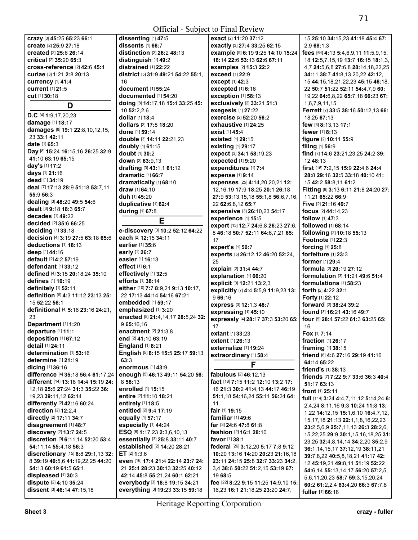| crazy [3] 45:25 65:23 66:1                           | dissenting [1] 47:5                                                | exact [2] 11:20 37:12                                                   | 15 25:10 34:15,23 41:18 45:4 67:                                        |
|------------------------------------------------------|--------------------------------------------------------------------|-------------------------------------------------------------------------|-------------------------------------------------------------------------|
| create [2] 25:9 27:18                                | dissents [1] 66:7                                                  | exactly [3] 27:4 33:25 62:15                                            | 2.9 68:1.3                                                              |
| <b>created</b> [2] <b>25:</b> 6 <b>26:14</b>         | <b>distinction</b> [2] $26:248:13$                                 | example [9] 6:19 9:25 14:10 15:24                                       | fees [64] 4:13 5:4,6,9,11 11:5,9,15,                                    |
| <b>critical</b> [2] 35:20 65:3                       | distinguish $[1]$ 49:2                                             | 16:14 22:6 53:13 62:6 67:11                                             | 18 12:5,7,15,19 13:7 16:15 18:1,3,                                      |
| cross-reference [2] 42:6 45:4                        | distrained [1] 22:22                                               | <b>examples</b> [2] 15:3 22:2                                           | 4,7 24:5,6,8 27:6,8 28:14,18,22,25                                      |
| <b>curiae</b> [3] <b>1:21 2:8 20:13</b>              | district [5] 31:9 49:21 54:22 55:1,                                | <b>exceed</b> [1] 22:9                                                  | 34:11 38:7 41:8,13,20,22 42:12,                                         |
| <b>currency</b> [1] 41:4                             | 16                                                                 | except [1] 42:3                                                         | 15 44:15, 18, 21, 22, 23 45:15 46:18,                                   |
| <b>current</b> [1] 21:5                              | <b>document</b> [1] <b>55:24</b>                                   | excepted $[1]$ 6:16                                                     | 22 50:7 51:22 52:11 54:4,7,9 60:                                        |
|                                                      |                                                                    |                                                                         |                                                                         |
| <b>cut</b> [1] 30:18                                 | documented [1] 54:20                                               | exception [1] 58:13                                                     | 19,22 64:6,8,22 65:7,18 66:23 67:                                       |
| D                                                    | doing [8] 14:17,18 15:4 33:25 45:                                  | exclusively [2] 33:21 51:3                                              | 1,6,7,9,11,15                                                           |
| D.C [4] 1:9,17,20,23                                 | 10 52:2,2,6                                                        | exegesis [1] 27:22                                                      | Ferrett [7] 33:5 38:16 50:12,13 66:                                     |
| damage [1] 18:17                                     | dollar [1] 18:4                                                    | exercise [2] 52:20 56:2                                                 | 18.25 67:13                                                             |
|                                                      | dollars [2] 17:8 18:20                                             | exhaustive [1] 24:25                                                    | few [3] 8:13,13 17:1                                                    |
| damages [8] 19:1 22:8,10,12,15,                      | <b>done</b> [1] <b>59:14</b>                                       | <b>exist</b> [1] 45:4                                                   | <b>fewer</b> $[1]$ 8:13                                                 |
| 23 33:1 42:11                                        | double [3] 14:11 22:21,23                                          | <b>existed</b> [1] 29:15                                                | figure [2] 10:11 55:9                                                   |
| date $[1]$ 65:3                                      | doubly [1] 61:15                                                   | existing [1] 29:17                                                      | filing [1] 56:9                                                         |
| Day [8] 15:24 16:15,16 26:25 32:9                    | doubt [1] 30:2                                                     | expect [3] 34:1 58:19,23                                                | find [7] 14:6 23:21,23,25 24:2 39:                                      |
| 41:10 63:19 65:15                                    | down $[2]$ 63:9.13                                                 | expected [1] 9:20                                                       | 12 48:13                                                                |
| day's [1] 17:2                                       | drafting [3] 43:1,1 61:12                                          | expenditures [1] 7:4                                                    | first [16] 7:2, 15 15:9 22:4, 6 24:4                                    |
| days [1] 21:16                                       | dramatic [1] 66:7                                                  | expense [1] 9:14                                                        | 28:8 29:16 32:5 33:18 40:10 41:                                         |
| dead [1] 34:19                                       | dramatically [1] 68:10                                             | expenses [25] 4:14,20,20,21 12:                                         | 15 42:2 58:8,11 61:2                                                    |
| deal [7] 17:13 28:9 51:18 53:7,11                    | draw [1] 64:10                                                     | 12, 16, 19 17: 9 18: 25 20: 1 26: 18                                    | Fitting [8] 3:13 6:11 21:8 24:20 27:                                    |
| 55:9 56:3                                            |                                                                    |                                                                         |                                                                         |
| dealing [3] 48:20 49:5 54:6                          | <b>duh</b> [1] <b>45:2</b> 0                                       | 27:9 53:13,15,18 55:1,8 56:6,7,16,                                      | 11,21 65:22 66:9                                                        |
| dealt [3] 9:18 18:3 65:7                             | duplicative [1] 62:4                                               | 22 62:6,8,12 65:7                                                       | Five [2] 21:16 49:7                                                     |
| decades [1] 49:22                                    | <b>during</b> [1] <b>67:8</b>                                      | expensive [3] 26:10,23 54:17                                            | <b>focus</b> [2] 44:14,23                                               |
| decided [2] 35:6 66:25                               | Е                                                                  | experience [1] 15:5                                                     | <b>follow</b> $[1]$ 47:3                                                |
|                                                      |                                                                    | expert [13] 12:7 24:6,8 26:23 27:6,                                     | <b>followed</b> [1] <b>68:14</b>                                        |
| deciding $[1]$ 33:18                                 | e-discovery [3] 10:2 52:12 64:22                                   | 8 46:18 50:7 52:11 64:6,7,21 65:                                        | <b>following</b> [2] <b>10:18 55:13</b>                                 |
| decision [4] 3:19 27:5 63:18 65:6                    | each [2] 12:15 34:11                                               | 17                                                                      | <b>Footnote [1] 22:3</b>                                                |
| deductions $[1]$ 18:13                               | earlier [1] 35:6                                                   | expert's [1] 50:7                                                       | forcing $[1]$ 25:8                                                      |
| deep [1] 44:16                                       | early [1] 26:7                                                     | experts [5] 26:12,12 46:20 52:24,                                       | forfeiture [1] 23:3                                                     |
| <b>default</b> [2] <b>4:2 57:19</b>                  | easier [1] 16:13                                                   | 25                                                                      | <b>former</b> [1] 29:4                                                  |
| defendant $[1]$ 33:12                                | effect [1] 6:1                                                     | explain [2] 31:4 44:7                                                   | <b>formula</b> [2] <b>20:19 27:12</b>                                   |
| defined [4] 3:15 20:18,24 35:10                      | effectively [1] 32:5                                               | explanation [1] 66:20                                                   | <b>formulation</b> [3] <b>11:21 49:6 51:4</b>                           |
| <b>defines</b> [1] <b>10:1</b> 9                     | efforts [1] 38:14                                                  | explicit [3] 12:21 13:2,3                                               | formulations $[1]$ 58:23                                                |
| definitely [1] 52:11                                 | either [10] 7:7 8:9,21 9:13 10:17,                                 | explicitly [7] 4:4 5:5,9 11:9,23 13:                                    | <b>forth</b> [2] <b>4:22 32:1</b>                                       |
| definition [6] 4:3 11:12 23:13 25:                   | 22 17:13 44:14 54:16 67:21                                         | 966:16                                                                  | <b>Forty</b> [1] 22:12                                                  |
| 15 52:22 56:1                                        | <b>embedded</b> [1] 59:17                                          | express [3] 12:1,3 48:7                                                 | forward [2] 38:24 39:2                                                  |
| definitional [4] 5:16 23:16 24:21,                   | emphasized [1] 3:20                                                | expressing [1] 45:10                                                    | <b>found</b> [3] <b>16:21 43:16 49:7</b>                                |
| 23                                                   | enacted [8] 21:4,14,17 28:5,24 32:                                 | expressly [4] 28:17 37:3 53:20 65:                                      | four [5] 28:4 57:22 61:3 63:25 65:                                      |
| Department [1] 1:20                                  | 9 65:16.16                                                         | 17                                                                      | 16                                                                      |
| departure [1] 11:1                                   | enactment [2] 21:3,8                                               | <b>extant</b> [1] 33:23                                                 | <b>Fox</b> $[1]$ 7:14                                                   |
| deposition [1] 67:12                                 | end [2] 41:10 63:19                                                | extent [1] 26:13                                                        | fraction [1] 26:17                                                      |
| detail [1] 24:11                                     | <b>England</b> [1] 8:21                                            | externalize [1] 19:24                                                   | framing [1] 38:15                                                       |
| determination [1] 53:16                              | English [5] 8:15 15:5 25:17 59:13                                  | extraordinary [1] 58:4                                                  | friend [6] 4:6 27:16 29:19 41:16                                        |
| determine [1] 21:19                                  | 63:3                                                               |                                                                         | 64:14 65:22                                                             |
| dicing [1] 36:16                                     | enormous [1] 43:9                                                  | F                                                                       | friend's [1] 38:13                                                      |
| difference [4] 35:18 56:4 61:17,24                   | enough [5] 46:13 49:11 54:20 56:                                   | fabulous [2] 46:12,13                                                   | friends [7] 7:22 9:7 33:6 36:3 40:4                                     |
| different [14] 13:18 14:4 15:19 24:                  | 8 58:13                                                            | fact [18] 7:15 11:2 12:10 13:2 17:                                      | 51:17 63:13                                                             |
| 12, 18 25: 6 27: 24 31: 3 35: 22 36:                 | enrolled [1] 15:15                                                 | 16 21:3 30:2 41:4,13 44:17 46:19                                        | <b>front</b> [1] 25:11                                                  |
| 19,23 39:11,12 62:14                                 |                                                                    |                                                                         |                                                                         |
| differently [2] 42:16 60:24                          | entire [2] 11:10 18:21                                             | 51:1,18 54:16,24 55:11 56:24 64:                                        |                                                                         |
|                                                      | entirely [1] 18:5                                                  | 11                                                                      | full [114] 3:24 4:4,7,11,12 5:14,24 6:                                  |
|                                                      | entitled [2] 9:4 17:19                                             | fair [1] 19:15                                                          | 2,4,24 8:11,16 9:3 10:24 11:8 13:                                       |
| direction [2] 12:2,4                                 |                                                                    | familiar $[1]$ 49:6                                                     | 1,22 14:12,15 15:1,6,10 16:4,7,12,                                      |
| <b>directly</b> [2] 17:11 34:7                       | equally [1] 57:17                                                  |                                                                         | 15, 17, 18 21: 13 22: 1, 1, 8, 16, 22, 23                               |
| disagreement [1] 48:7                                | especially [1] 44:24                                               | far [3] 24:6 47:8 61:8                                                  | 23:2,5,6,9 25:7,11,13 26:3 28:2,6,                                      |
| discovery [2] 13:7 24:5                              | ESQ [6] 1:17,23 2:3,6,10,13                                        | fashion [2] 16:1 28:10                                                  |                                                                         |
| discretion [9] 6:11,14 52:20 53:4                    | essentially [3] 25:8 33:11 40:7                                    | <b>favor</b> [1] 38:1                                                   | 15,22,25 29:9 30:1,15,16,18,25 31:<br>23,25 32:4,8,14,14 34:2,20 35:2,9 |
| 54:11,14 55:4,18 56:3                                | established [2] 14:20 28:21                                        | federal [26] 3:12,20 5:17 7:8 9:12                                      | 36:1,14,15,17 37:12,19 38:11,21                                         |
| discretionary [15] 6:8 29:1, 13 32:                  | ET $[2]$ 1:3,6                                                     | 10:20 13:16 14:20 20:23 21:16,18                                        | 39:7,8,22 40:5,8,18,21 41:17 42:                                        |
| 8 39:19 40:5,6 41:19,22,25 44:20                     | even [16] 17:4 21:4 22:14 23:7 24:                                 | 23:11 24:15 25:8 32:7 33:23 34:2,                                       | 12 45:19,21 49:8,11 51:19 52:22                                         |
| 54:13 60:19 61:5 65:1                                | 21 25:4 28:23 30:13 32:25 40:12                                    | 3,4 38:6 50:22 51:2,15 53:19 67:                                        | 54:6,14 55:13,14,17 56:20 57:2,5,                                       |
| displeased [1] 30:3                                  | 42:14 45:8 55:21,24 60:1 62:21                                     | 19 68:5                                                                 | 5,6,11,20,23 58:7 59:3,15,20,24                                         |
| dispute [2] 4:10 35:24<br>dissent [3] 46:14 47:15,18 | everybody [3] 18:8 19:15 34:21<br>everything [3] 19:23 33:15 59:18 | fee [22] 8:22 9:15 11:25 14:9,10 15:<br>16,23 16:1 21:18,25 23:20 24:7, | 60:2 61:2,2,4 63:4,20 66:3 67:7,8<br>fuller [1] 66:18                   |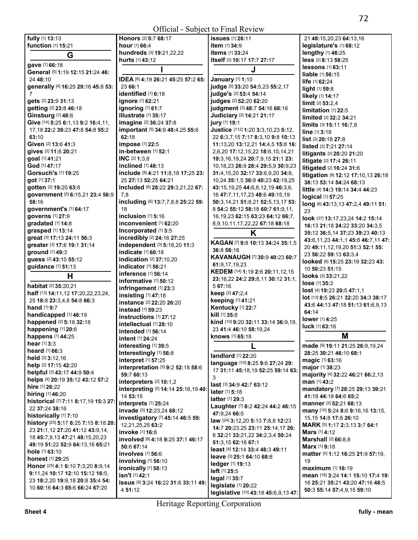## Official - Subject to Final Review

| fully [1] 13:13                         | <b>Honors</b> [2] 5:7 68:17         | <b>issues</b> [1] 26:11                         | 21 48:15,20,23 64:13,16                        |
|-----------------------------------------|-------------------------------------|-------------------------------------------------|------------------------------------------------|
| function [1] 15:21                      | hour [1] 66:4                       | item [1] 34:9                                   | legislature's [1] 68:12                        |
| G                                       | hundreds [3] 19:21,22,22            | items [1] 33:24                                 | lengthy [1] 46:25                              |
|                                         | <b>hurts</b> [1] <b>43:</b> 12      | itself [3] 10:17 17:7 27:17                     | less [2] 8:13 58:25                            |
| gave [1] 66:18                          |                                     |                                                 | <b>lessons</b> [1] 63:11                       |
| General [5] 1:19 12:15 21:24 46:        |                                     | J                                               | liable [1] 56:15                               |
| 24 48:10                                | IDEA [6] 4:19 26:21 45:25 57:2 65:  | January [1] 1:10                                | life [1] 62:24                                 |
| generally [4] 16:25 29:16 45:8 53:      | 23 66:1                             | judge [5] 33:20 54:5,23 55:2,17                 |                                                |
| 7                                       | identified [1] 6:18                 | judge's [2] 53:4 54:14                          | light [1] 59:8                                 |
| gets [2] 23:9 31:13                     | ignore [1] 62:21                    | judges [2] 52:20 62:20                          | likely [1] 14:17                               |
| getting [2] 23:8 46:18                  | ignoring [1] 61:7                   | judgment [3] 48:7 54:16 68:16                   | $limit$ [2] 53:2,4                             |
|                                         |                                     |                                                 | limitation [1] 22:5                            |
| Ginsburg [1] 48:6                       | illustrate [1] 35:17                | Judiciary [2] 14:21 21:17                       | limited [2] 32:2 34:21                         |
| Give [14] 5:25 6:1,13 9:2 16:4,11,      | imagine [2] 36:24 37:8              | jury [1] 19:1                                   | limits [3] 15:11 16:7,8                        |
| 17, 18 22: 2 39: 23 47: 8 54: 8 55: 2   | important [5] 34:9 48:4,25 55:6     | Justice [112] 1:20 3:3,10,23 5:12,              | line [1] 3:19                                  |
| 63:10                                   | 62:18                               | 22 6:3,7,15 7:17 8:3,10 9:8 10:13               | list [2] 20:18 27:8                            |
| Given [2] 13:6 41:3                     | impose [1] 22:5                     | 11:13,20 13:12,21 14:4,5 15:8 16:               | listed [2] 7:21 27:14                          |
| gives [2] 11:6 20:21                    | in-between [1] 52:1                 | 2,6,20 17:12,15,22 18:6,10,14,21                | <b>litigants</b> [2] <b>20:20 21:20</b>        |
| goal [1] 41:21                          | <b>INC</b> [2] 1:3.6                | 19:3,16,19,24 20:7,9,15 21:1 23:                |                                                |
| God [1] 47:17                           | inclined [1] 48:13                  | 10,18,23 26:9 28:4 29:5,9 30:9,23               | litigate [2] 17:4 26:11                        |
| Gorsuch's [1] 19:25                     | include [8] 4:21 11:8,18 17:25 23:  | 31:4,15,20 32:17 33:6,9,20 34:8,                | litigated [2] 16:24 31:6                       |
|                                         | 25 27:13 52:25 64:21                |                                                 | litigation [8] 12:12 17:10,13 26:18            |
| got [1] 37:1                            |                                     | 10,24 35:1,5 36:8 40:23 42:19,25                | 38:13 53:14 54:24 68:13                        |
| gotten [2] 19:20 63:8                   | included [6] 28:22 29:3,21,22 67:   | 43:15,19,25 44:6,8,12,19 46:3,6,                | <b>little</b> [4] <b>14:3 19:14 34:4 44:23</b> |
| government [5] 6:15,21 23:4 56:9        | 7,8                                 | 16 47:7,11,17,23 48:6 49:15,19                  | logical [1] 57:25                              |
| 58:16                                   | including [6] 13:7,7,8,8 25:22 59:  | 50:3,14,21 51:8,21 52:5,13,17 53:               | long [6] 43:13,13 47:2,4 49:11 51:             |
| government's [1] 64:17                  | 18                                  | 8 54:2 55:12 58:18 60:7 61:9,11,                | 23                                             |
| governs [1] 27:9                        | inclusion $[1]$ 5:16                | 16, 19, 23 62: 15 63: 23 64: 12 66: 7,          | look [37] 13:17,23,24 14:2 15:14               |
| gradated [1] 14:8                       | inconvenient [1] 62:20              | 8,9,10,11,17,22,22 67:18 68:18                  |                                                |
| grasped [1] 13:14                       | Incorporated [1] 3:5                |                                                 | 16:13 21:18 24:22 33:20 34:3,5                 |
| great [3] 17:13 24:11 56:3              | incredibly [2] 24:16 27:25          | Κ                                               | 35:12 36:5,14 37:23 39:23 40:13                |
| greater [3] 17:6 19:1 31:14             | independent [3] 5:18,20 11:3        | KAGAN [7] 9:8 10:13 34:24 35:1,5                | 43:6,11,23 44:1,1 45:8 46:7,11 47:             |
|                                         |                                     | 36:8 58:18                                      | 20 49:11,12,19,20 51:3 52:1 55:                |
| ground [1] 49:3                         | indicate [1] 60:18                  | KAVANAUGH [7] 30:9 40:23 60:7                   | 23 56:22 59:13 63:3,4                          |
| guess [2] 43:10 55:12                   | indication [2] 37:10,20             | 61:9,17,19,23                                   | looked [6] 15:25 23:19 32:23 43:               |
| guidance [1] 51:13                      | indicator [1] 56:21                 | KEDEM [14] 1:19 2:6 20:11,12,15                 | 10 50:23 51:15                                 |
| Н                                       | inference [1] 56:14                 |                                                 | <b>looks</b> [2] 33:21,22                      |
|                                         | <b>informative</b> [1] <b>50:12</b> | 23:16,22 24:2 29:8,11 30:12 31:1,               | lose [1] 35:3                                  |
| <b>habitat</b> [2] <b>35:20,21</b>      | infringement [1] 23:3               | 5 67:16                                         | lost [4] 19:23 20:5 47:1,1                     |
| half [13] 14:11, 12 17: 20, 22, 23, 24, | insisting [1] 47:18                 | keep [2] 47:2,4                                 | lot [13] 8:5 26:21 32:20 34:3 38:17            |
| 25 18:8 23:3,4,8 54:8 66:3              | instance [2] 22:20 26:20            | keeping [1] 41:21                               |                                                |
| hand [1] 9:7                            | instead [1] 59:23                   | Kentucky [1] 22:7                               | 43:6 44:13 47:18 51:13 61:6,9,13               |
| handicapped [1] 46:19                   | instructions [1] 27:12              | kill [1] 35:8                                   | 64:14                                          |
| happened [2] 5:18 32:18                 | intellectual [1] 28:10              | kind [10] 9:20 32:11 33:14 36:9,19,             | <b>lower</b> [1] <b>4:25</b>                   |
| happening [1] 20:6                      |                                     | 23 41:4 46:10 58:19,24                          | luck [1] 63:16                                 |
| happens [1] 44:25                       | intended [1] 56:14                  | <b>knows</b> [1] <b>65:</b> 18                  | M                                              |
| hear $[1]$ 3:3                          | intent [1] 24:24                    |                                                 |                                                |
|                                         | interesting [1] 39:5                | L                                               | made [9] 19:11 21:25 26:9,19,24                |
| <b>heard</b> $[1]$ 66:3                 | Interestingly [1] 56:8              | landlord [1] 22:20                              | 28:25 30:21 46:10 68:1                         |
| <b>held</b> $[2]$ 3:12,16               | interpret [1] 57:25                 | language [10] 8:25 9:6 27:24 29:                | <b>magic [1] 63:16</b>                         |
| help [2] 17:15 42:20                    | interpretation [5] 9:2 52:18 58:6   |                                                 | <b>major</b> [1] 38:23                         |
| helpful [3] 43:17 44:9 50:4             | 59:7 60:13                          | 17 31:11 45:18,19 52:25 59:14 63:               | majority [4] 32:22 46:21 66:2,13               |
| helps [4] 20:19 35:12 43:12 57:2        | interpreters $[2]$ 10:1,2           | 3                                               | <b>man</b> [1] 43:2                            |
| hire [1] 26:22                          | interpreting [5] 14:14 25:16,19 40: | last [3] 34:9 42:7 63:12                        | mandatory [7] 28:25 29:13 39:21                |
| <b>hiring</b> [1] 46:20                 | 14 53:15                            | <b>later</b> $[1]$ 5:18                         | 41:18 44:18 64:6 65:2                          |
| historical [7] 7:11 8:17,19 15:3 27:    |                                     | <b>latter</b> $[1]$ 29:3                        |                                                |
| 22 37:24 38:16                          | interprets [1] 25:24                | Laughter [7] 8:2 42:24 44:2 46:15               | manner [2] 52:21 68:13                         |
| historically [1] 7:10                   | invade [3] 12:23,24 68:12           | 47:9.24 66:5                                    | many [10] 5:24 8:6 9:16,16 13:15,              |
|                                         | investigatory [7] 45:14 46:5 59:    | <b>law</b> [24] <b>3:12,20 5:13 7:8,8 12:23</b> | 15,15 14:8 17:8 26:10                          |
| history [25] 5:17 6:25 7:15 8:18 20:    | 12,21,25,25 63:2                    | 14:7 20:23,25 23:11 25:14,17 26:                | MARK [5] 1:17 2:3,13 3:7 64:1                  |
| 23 21:1,12 27:20 41:12 43:9,14,         | invoke [1] 16:8                     | 8 32:21 33:21,22 34:2,3,4 50:24                 | Mars [1] 4:12                                  |
| 18 45:7,9,13 47:21 48:15,20,23          | involved [6] 4:18 9:25 37:1 46:17   |                                                 | Marshall [2] 66:8,8                            |
| 49:19 51:22 52:9 64:13,16 65:21         | 50:6 67:14                          | 51:3,15 62:16 67:1                              | <b>Marx</b> $[1]$ 9:18                         |
| <b>hole</b> [1] <b>63:1</b> 0           | involves $[1]$ 56:6                 | least [4] 12:14 33:4 48:3 49:11                 | matter [5] 1:12 16:25 21:9 57:19,              |
| <b>honest</b> [1] <b>29:</b> 25         | <b>involving</b> [1] 56:10          | leave [3] 25:1 64:10 68:8                       | 19                                             |
| Honor [25] 4:1 6:10 7:3,20 8:9,14       | ironically [1] 58:13                | ledger [1] 19:13                                | <b>maximum</b> [1] <b>16:19</b>                |
| 9:11,24 10:17 12:10 15:12 16:5,         | isn't [1] 42:1                      | left [1] 25:5                                   | mean [16] 3:24 14:1 15:10 17:4 19:             |
| 23 18:2,20 19:9,18 20:8 35:4 54:        |                                     | legal [1] 35:7                                  |                                                |
| 10 60:16 64:3 65:6 66:24 67:20          | issue [6] 3:24 16:22 31:6 33:11 49: | legislate [1] 20:22                             | 16 25:21 35:21 43:20 47:16 48:5                |
|                                         | 4 51:12                             | legislative [10] 43:18 45:6,9,13 47:            | 50:3 55:14 57:4,9,15 59:10                     |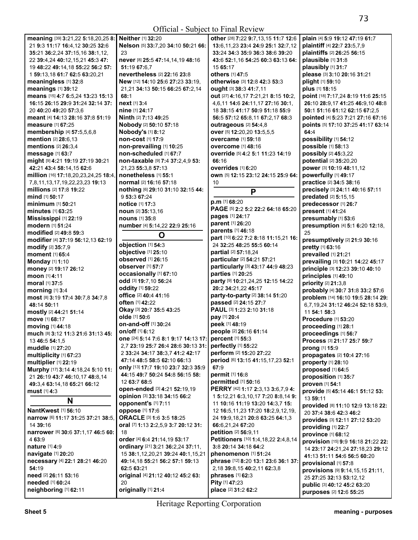| meaning [39] 3:21,22 5:18,20,25 8:   | Neither [1] 32:20                                     | other [28] 7:22 9:7,13,15 11:7 12:6     | plain [4] 5:9 19:12 47:19 61:7     |
|--------------------------------------|-------------------------------------------------------|-----------------------------------------|------------------------------------|
| 21 9:3 11:17 16:4,12 30:25 32:6      | Nelson [5] 33:7,20 34:10 50:21 66:                    | 13:6, 11, 23 23:4 24:9 25:1 32:7, 12    | plaintiff [4] 22:7 23:5,7,9        |
| 35:21 36:2,24 37:15,16 38:1,12,      | 23                                                    | 33:24 34:3 35:9 36:3 38:6 39:20         | plaintiffs [2] 26:25 56:15         |
|                                      |                                                       |                                         | plausible [1] 31:8                 |
| 22 39:4,24 40:12,15,21 45:3 47:      | never [8] 25:5 47:14,14,19 48:16                      | 43:6 52:1,16 54:25 60:3 63:13 64:       |                                    |
| 19 48:22 49:14,18 55:22 56:2 57:     | 51:19 67:6,7                                          | 15 65:17                                | plausibly [1] 31:7                 |
| 1 59:13.18 61:7 62:5 63:20.21        | nevertheless [2] 22:16 23:8                           | others [1] 47:5                         | please [3] 3:10 20:16 31:21        |
| meaningless [1] 32:8                 | New [12] 14:10 25:6 27:23 33:19,                      | otherwise [3] 12:8 42:3 53:3            | plight [1] 59:10                   |
|                                      |                                                       |                                         |                                    |
| meanings [1] 39:12                   | 21,21 34:13 50:15 66:25 67:2,14                       | ought [3] 38:3 41:7,11                  | plus [1] 18:15                     |
| means [15] 4:7 6:5,24 13:23 15:13    | 68:1                                                  | out [27] 4:16,17 7:21,21 8:15 10:2,     | point [18] 7:17,24 8:19 11:6 25:15 |
| 16:15 26:15 29:9 31:24 32:14 37:     | next [1] 3:4                                          | 4,6,11 14:6 24:11,17 27:16 30:1,        | 26:10 28:9,17 41:25 46:9,10 48:8   |
|                                      |                                                       |                                         |                                    |
| 20 40:20 49:20 57:3,6                | nine [1] 24:17                                        | 18 38:15 41:17 50:9 51:18 55:9          | 50:1 51:16 61:12 62:15 67:2,5      |
| meant [4] 14:13 28:16 37:8 51:19     | Ninth [2] 7:13 49:25                                  | 56:5 57:12 65:8,11 67:2,17 68:3         | pointed [4] 5:23 7:21 27:16 67:16  |
| <b>measure</b> [1] 67:25             | Nobody [2] 50:10 57:18                                | outrageous [2] 54:4,8                   | points [5] 17:10 37:25 41:17 63:14 |
|                                      |                                                       |                                         |                                    |
| membership [4] 57:5,5,6,8            | Nobody's [1] 8:12                                     | over [5] 12:20,20 13:5,5,5              | 64:4                               |
| mention [2] 28:6,13                  | non-cost [1] 17:9                                     | <b>overcame</b> [1] 59:18               | possibility [1] 54:12              |
| mentions [2] 26:3,4                  | non-prevailing [1] 10:25                              | <b>overcome</b> [1] 48:16               | possible [1] 58:13                 |
|                                      |                                                       |                                         |                                    |
| message [1] 63:7                     | non-scheduled [1] 67:7                                | override [5] 4:2 5:1 11:23 14:19        | possibly [2] 45:3,22               |
| might [9] 4:21 19:19 27:19 30:21     | non-taxable [9] 7:4 37:2,4,9 53:                      | 66:16                                   | potential [2] 35:20,20             |
| 42:21 43:4 58:14,15 62:6             | 21,23 55:3,8 57:13                                    | overrides [1] 6:20                      | power [3] 10:19 48:11,12           |
|                                      | nonetheless [1] 55:1                                  |                                         |                                    |
| million [16] 17:18,20,23,24,25 18:4, |                                                       | own [5] 12:15 23:12 24:15 25:9 64:      | powerfully [1] 49:17               |
| 7,8,11,13,17,19,22,23,23 19:13       | normal [2] 16:16 57:18                                | 10                                      | practice [2] 34:5 38:16            |
| millions [2] 17:8 19:22              | nothing [6] 29:10 31:10 32:15 44:                     |                                         | precisely [3] 24:11 40:16 57:11    |
| mind [1] 50:17                       | 9 53:3 67:24                                          | P                                       |                                    |
|                                      |                                                       | $p.m$ [1] 68:20                         | predated [2] 5:15,15               |
| <b>minimum</b> [1] <b>50:21</b>      | <b>notice</b> [1] 17:3                                |                                         | predecessor [1] 26:7               |
| <b>minutes</b> [1] 63:25             | noun [2] 35:13,16                                     | PAGE [5] 2:2 5:2 22:2 64:18 65:20       | present [1] 41:24                  |
| <b>Mississippi [1] 22:19</b>         | <b>nouns</b> [1] 35:8                                 | pages [1] 24:17                         | presumably [1] 53:6                |
|                                      |                                                       | parent [1] 26:20                        |                                    |
| modern [1] 51:24                     | number [4] 5:14,22 22:9 25:16                         |                                         | presumption [4] 5:1 6:20 12:18,    |
| modified [2] 49:8 59:3               | O                                                     | parents [1] 46:18                       | 25                                 |
| modifier [4] 37:19 56:12,13 62:19    |                                                       | part [10] 6:22 7:2 8:18 11:15,21 16:    | presumptively [2] 21:9 30:16       |
|                                      | objection [1] 54:3                                    | 24 32:25 48:25 55:5 60:14               |                                    |
| modify [2] 35:7,9                    |                                                       |                                         | pretty [1] 63:16                   |
| moment [1] 65:4                      | objective [1] 25:10                                   | partial [2] 57:18,24                    | prevailed [1] 21:21                |
| Monday [1] 1:10                      | <b>observed</b> [1] 26:15                             | particular [2] 54:21 57:21              | prevailing [3] 10:21 14:22 45:17   |
|                                      | observer [1] 57:7                                     | particularly [3] 43:17 44:9 48:23       |                                    |
| money [2] 19:17 26:12                |                                                       |                                         | principle [3] 12:23 39:10 40:10    |
| moon [1] 4:11                        | occasionally [1] 67:10                                | parties [1] 20:25                       | principles [1] 49:10               |
| moral [1] 37:5                       | odd [3] 19:7,10 56:24                                 | party [9] 10:21,24,25 12:15 14:22       | priority [2] 21:3,8                |
|                                      | oddity [1] 59:22                                      | 20:2 34:21,22 45:17                     |                                    |
| morning [1] 3:4                      |                                                       |                                         | probably [4] 30:7 31:8 33:2 57:6   |
| most [8] 3:19 17:4 30:7,8 34:7,8     | office [2] 40:4 41:16                                 | party-to-party [2] 38:14 51:20          | problem [14] 16:10 19:5 28:14 29:  |
| 48:14 50:11                          | often [1] 42:22                                       | passed [2] 24:15 27:7                   | 6,7,19,24 31:12 46:24 52:18 53:9,  |
|                                      | Okay [3] 20:7 35:5 43:25                              | PAUL [3] 1:23 2:10 31:18                |                                    |
| mostly [2] 44:21 51:14               | olde [1] 50:6                                         | pay [1] 20:4                            | 11 54:1 58:3                       |
| move [1] 68:17                       |                                                       |                                         |                                    |
| moving [1] 44:18                     |                                                       |                                         | Procedure [1] 53:20                |
|                                      | <b>on-and-off</b> [1] 30:24                           | peek [1] 48:19                          |                                    |
|                                      |                                                       |                                         | proceeding [1] 28:1                |
| much [8] 3:12 11:3 21:6 31:13 45:    | on/off [1] 6:12                                       | people [2] 26:16 61:14                  | proceedings [1] 56:7               |
| 13 46:5 54:1.5                       | one [24] 5:14 7:6 8:1 9:17 14:13 17: percent [1] 55:3 |                                         | Process [3] 21:17 25:7 59:7        |
|                                      | 2.7 23:19 25:7 26:4 28:6 30:13 31:                    | perfectly [1] 55:22                     |                                    |
| muddle [1] 27:20                     | 2 33:24 34:17 38:3,7 41:2 42:17                       | perform [2] 15:20 27:22                 | prong [1] 15:9                     |
| multiplicity [1] 67:23               |                                                       |                                         | propagates [2] 10:4 27:16          |
| multiplier [1] 22:19                 | 47:14 48:5 58:5 62:10 66:13                           | period [6] 13:15 41:15,17,23 52:1       | property [1] 28:10                 |
| Murphy [17] 3:14 4:18,24 5:10 11:    | only [13] 17:7 19:10 23:7 32:3 35:9                   | 67:9                                    | proposed [1] 64:5                  |
|                                      | 44:15 49:7 50:24 54:8 56:15 58:                       | permit [1] 16:8                         |                                    |
| 21 26:19 43:7 46:10,17 48:8,14       |                                                       |                                         | proposition [1] 35:7               |
| 49:3,4 63:14,18 65:21 66:12          | 12 63:7 68:5                                          | <b>permitted</b> [1] 50:16              | proven [1] 54:1                    |
| must $[1]$ 4:3                       | open-ended [3] 4:21 52:19,19                          | PERRY [42] 1:17 2:3,13 3:6,7,9 4:       | provide [5] 45:14 46:1 51:12 53:   |
|                                      | opinion [3] 33:18 34:15 66:2                          | 15:12.21 6:3.10.17 7:20 8:8.14 9:       |                                    |
| N                                    |                                                       |                                         | 13 59:11                           |
|                                      | opponent's [1] 7:11                                   | 11 10:16 11:19 13:20 14:3,7 15:         | provided [8] 11:10 12:9 13:18 22:  |
| <b>NantKwest [1] 56:10</b>           | oppose [1] 17:6                                       | 12 16:5,11,23 17:20 18:2,9,12,19,       | 20 37:4 38:6 42:3 46:2             |
| narrow [6] 11:17 31:25 37:21 38:5,   | ORACLE [3] 1:6 3:5 18:25                              | 24 19:9,18,21 20:8 63:25 64:1,3         |                                    |
| 14 39:16                             | oral [7] 1:13 2:2,5,9 3:7 20:12 31:                   | 66:6,21,24 67:20                        | provides [3] 12:11 27:12 53:20     |
|                                      |                                                       |                                         | providing [1] 22:7                 |
| narrower [6] 30:6 37:1,17 46:5 60:   | 18                                                    | petition [2] 56:9,11                    | province [1] 68:12                 |
| 4 63:9                               | order [4] 6:4 21:14,19 53:17                          | Petitioners [10] 1:4, 18, 22 2:4, 8, 14 |                                    |
| nature [1] 4:9                       | ordinary [21] 3:21 36:2,24 37:11,                     | 3:8 20:14 34:18 64:2                    | provision [15] 9:9 16:18 21:22 22: |
|                                      |                                                       |                                         | 14 23:17 24:21,24 27:18,23 29:12   |
| navigate [1] 20:20                   | 15 38:1,12,20,21 39:24 40:1,15,21                     | phenomenon [1] 51:24                    | 41:13 51:11 54:6 56:5 60:20        |
| necessary [4] 22:1 28:21 46:20       | 49:14,18 55:21 56:2 57:1 59:13                        | phrase [12] 8:20 13:1 23:6 36:1 37:     | provisional [1] 57:8               |
| 54:19                                | 62:5 63:21                                            | 2,18 39:8,15 40:2,11 62:3,8             |                                    |
|                                      |                                                       |                                         | provisions [9] 9:14,15,15 21:11,   |
| need [2] 26:11 53:16                 | original [4] 21:12 40:12 45:2 63:                     | phrases [1] 62:3                        | 25 27:25 32:13 53:12,12            |
| needed [1] 60:24                     | 20                                                    | Pity [1] 47:23                          | public [3] 40:12 45:2 63:20        |
| neighboring [1] 62:11                | originally [1] 21:4                                   | place [2] 31:2 62:2                     | purposes [2] 12:6 55:25            |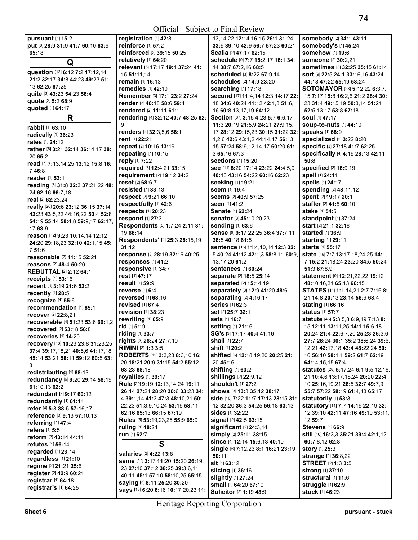## Official - Subject to Final Review

| pursuant [1] 15:2                            | registration [1] 42:8                         |
|----------------------------------------------|-----------------------------------------------|
|                                              |                                               |
| put [6] 28:9 31:9 41:7 60:10 63:9            | reinforce [1] 57:2                            |
| 65:18                                        | reinforced [2] 39:15 5                        |
| Q                                            | relatively [1] 64:20                          |
|                                              | relevant [6] 17:17 19:4                       |
| question [12] 6:12 7:2 17:12,14              | 15 51:11,14                                   |
| 21:2 32:17 34:8 44:23 49:23 51:              | remain [1] 16:13                              |
| 13 62:25 67:25                               | remedies [1] 42:10                            |
| quite [3] 43:23 54:23 58:4                   |                                               |
| quote [2] 5:2 68:9                           | Remember [3] 17:1 23                          |
|                                              | render [3] 40:18 58:6 5                       |
| quoted [1] 64:17                             | rendered [2] 11:11 61:                        |
| R                                            | rendering [4] 32:12 40                        |
|                                              | 9                                             |
| rabbit [1] 63:10                             | renders [4] 32:3.5.6 58                       |
| radically [1] 36:23                          | rent [1] 22:21                                |
| rates [1] 24:12                              |                                               |
| rather [6] 3:21 32:14 36:14,17 38:           | repeat [2] 10:16 13:19                        |
| 20 65:2                                      | repeating [1] 10:15                           |
| read [7] 7:13,14,25 13:12 15:8 16:           | reply [1] 7:22                                |
| 746:8                                        | required [3] 12:4,21 3:                       |
| reader [1] 53:1                              | requirement [2] 19:12                         |
|                                              | reset [2] 68:6,7                              |
| reading [8] 31:8 32:3 37:21,22 48:           | resisted [1] 33:13                            |
| 24 62:16 66:7,18                             | respect [2] 9:21 66:10                        |
| real [2] 62:23.24                            |                                               |
| really [20] 20:6 23:12 36:15 37:14           | respectfully [1] 42:6                         |
| 42:23 43:5,22 44:16,22 50:4 52:8             | respects [1] 20:23                            |
| 54:19 55:14 58:4,8 59:9,17 62:17,            | respond [1] 27:3                              |
| 17 63:9                                      | Respondents [5] 1:7,                          |
|                                              | 19 68:14                                      |
| reason [12] 9:23 10:14,14 12:12              | Respondents' [4] 25:                          |
| 24:20 29:18,23 32:10 42:1,15 45:             | 31:12                                         |
| 751:6                                        |                                               |
| reasonable [2] 11:15 52:21                   | response [3] 28:19 32                         |
| reasons [2] 48:4 50:20                       | responses [1] 41:2                            |
| <b>REBUTTAL [2] 2:12 64:1</b>                | responsive [1] 34:7                           |
| receipts [1] 53:16                           | rest [1] 47:17                                |
| recent [3] 3:19 21:6 52:2                    | result [1] 59:9                               |
|                                              | reverse [1] 6:4                               |
| recently [1] 28:5                            | <b>reversed</b> [1] <b>68:1</b> 6             |
| recognize [1] 55:6                           | revised [1] 67:4                              |
| recommendation [1] 65:1                      | revision [1] 38:23                            |
| recover [2] 22:8,21                          |                                               |
| recoverable [4] 51:23 53:6 60:1,2            | rewriting [1] 65:9                            |
| recovered [2] 53:18 56:8                     | <b>rid</b> [1] <b>5</b> :19                   |
| recoveries [1] 14:20                         | riding [1] 33:7                               |
| recovery [18] 10:23 23:8 31:23,25            | rights [3] 26:24 27:7,1(                      |
|                                              | RIMINI [2] 1:3 3:5                            |
| 37:4 39:17, 18, 21 40: 5, 6 41: 17, 18       | <b>ROBERTS</b> [12] <b>3:</b> 3,23            |
| 45:14 53:21 58:11 59:12 60:5 63:             | 20 18:21 20:9 31:15 5                         |
| 8                                            | 63:23 68:18                                   |
| redistributing [1] 68:13                     |                                               |
| redundancy [6] 9:20 29:14 58:19              | royalties [1] 39:17                           |
| 61:10.13 62:2                                | Rule [29] 9:19 12:13,14                       |
| redundant [2] 9:17 60:12                     | 26:14 27:21 28:20 30:                         |
| redundantly [1] 61:14                        | 4 39:1,14 41:3 47:3 48                        |
| refer [4] 5:8 38:5 57:16,17                  | 22,23 51:3,9,10,24 53                         |
|                                              | 62:16 65:13 66:15 67:                         |
| reference [3] 9:13 57:10,13                  | <b>Rules</b> [5] 53:19,23,25 <b>!</b>         |
| referring [1] 47:4                           | ruling [1] 48:24                              |
| refers [1] 5:5                               |                                               |
| reform [2] 43:14 44:11                       | run [1] 62:7                                  |
| refutes [1] 56:14                            | S                                             |
| regarded [1] 23:14                           |                                               |
| regardless [1] 21:10                         | <b>salaries</b> [2] <b>4:</b> 22 <b>13:</b> 8 |
|                                              | same [17] 3:17 11:20 1                        |
| regime [2] 21:21 25:6                        |                                               |
|                                              | 23 27:10 37:12 38:25                          |
| register [2] 42:9 60:21                      | 40:11 45:1 57:10 58:1                         |
| registrar [1] 64:18<br>registrar's [1] 64:25 | saying [3] 8:11 25:20 3                       |

**reinforced** [2] **39:**15 **50:**25 **relevant** [6] **17:**17 **19:**4 **37:**24 **41: Remember** [3] **17:**1 **23:**2 **27:**24 **render** [3] **40:**18 **58:**6 **59:**4 **rendered** [2] **11:**11 **61:**1 **rendering** [4] **32:**12 **40:**7 **48:**25 **62: renders** [4] **32:**3,5,6 **58:**1 **required** [3] **12:**4,21 **33:**15 **requirement** [2] **19:**12 **34:**2 **Respondents** [5] **1:**7,24 **2:**11 **31: Respondents'** [4] **25:**3 **28:**15,19 **response** [3] **28:**19 **32:**16 **40:**25 **rights** [3] **26:**24 **27:**7,10 **ROBERTS** [12] **3:**3,23 **8:**3,10 **16:**  20 **18:**21 **20:**9 **31:**15 **54:**2 **55:**12 **Rule** [29] **9:**19 **12:**13,14,24 **19:**11 **26:**14 **27:**21 **28:**20 **30:**6 **33:**23 **34:**  4 **39:**1,14 **41:**3 **47:**3 **48:**10,21 **50:**  22,23 **51:**3,9,10,24 **53:**19 **58:**11 **62:**16 **65:**13 **66:**15 **67:**19 **Rules** [5] **53:**19,23,25 **55:**9 **65:**9 **same** [17] **3:**17 **11:**20 **15:**20 **26:**19, 23 **27:**10 **37:**12 **38:**25 **39:**3,6,11 **40:**11 **45:**1 **57:**10 **58:**10,25 **65:**15 **saying** [3] **8:**11 **25:**20 **30:**20 **says** [18] **6:**20 **8:**16 **10:**17,20,23 **11:**  13,14,22 **12:**14 **16:**15 **26:**1 **31:**24 **33:**9 **39:**10 **42:**9 **56:**7 **57:**23 **60:**21 **Scalia** [2] **47:**17 **62:**15 **schedule** [9] **7:**7 **15:**2,17 **16:**1 **34:**  14 **38:**7 **67:**2,16 **68:**5 **scheduled** [3] **8:**22 **67:**9,14 **schedules** [2] **14:**9 **23:**20 **searching** [1] **17:**18 **second** [17] **11:**4,14 **12:**3 **14:**17 **22:**  18 **34:**6 **40:**24 **41:**12 **42:**1,3 **51:**6, 16 **60:**8,13,17,19 **64:**12 **Section** [37] **3:**15 **4:**23 **5:**7 **6:**6,17 **11:**3 **20:**19 **21:**5,9 **24:**21 **27:**9,15, 17 **28:**12 **29:**15,23 **30:**15 **31:**22 **32:**  1,2,6 **42:**6 **43:**1,2 **44:**14,17 **56:**13, 15 **57:**24 **58:**9,12,14,17 **60:**20 **61:**  3 **65:**16 **67:**3 **sections** [1] **15:**20 **see** [11] **8:**20 **17:**14 **23:**22 **24:**4,5,9 **40:**13 **43:**16 **54:**22 **60:**16 **62:**23 **seeking** [1] **19:**21 **seem** [1] **19:**4 **seems** [2] **40:**9 **57:**25 **seen** [1] **41:**2 **Senate** [1] **62:**24 **senator** [3] **45:**10,20,23 **sending** [1] **63:**6 **sense** [8] **9:**17 **22:**25 **36:**4 **37:**7,11 **38:**5 **40:**18 **61:**5 **sentence** [16] **11:**4,10,14 **12:**3 **32:**  5 **40:**24 **41:**12 **42:**1,3 **58:**8,11 **60:**9, 13,17,20 **61:**2 **sentences** [1] **60:**24 **separate** [2] **18:**5 **25:**14 **separated** [2] **15:**14,19 **separately** [3] **12:**9 **41:**20 **48:**6 **separating** [2] **4:**16,17 **series** [1] **62:**3 **set** [2] **25:**7 **32:**1 **sets** [1] **16:**7 **setting** [1] **21:**16 **SG's** [3] **17:**17 **40:**4 **41:**16 **shall** [1] **22:**7 **shift** [1] **20:**2 **shifted** [6] **12:**18,19,20 **20:**25 **21:**  20 **45:**16 **shifting** [1] **63:**2 **shillings** [2] **22:**9,12 **shouldn't** [1] **27:**2 **shows** [3] **13:**3 **35:**12 **38:**17 **side** [10] **7:**22 **11:**7 **17:**13 **28:**15 **31:**  12 **32:**20 **36:**3 **54:**25 **56:**18 **63:**13 **sides** [1] **32:**22 **signal** [2] **42:**5 **63:**15 **significant** [2] **24:**3,14 **simply** [2] **25:**11 **38:**15 **since** [4] **12:**14 **15:**6,13 **40:**10 **single** [6] **7:**12,23 **8:**1 **16:**21 **23:**19 **50:**11 **sit** [1] **63:**12 **slicing** [1] **36:**16 **slightly** [1] **27:**24 **small** [2] **64:**20 **67:**10 **Solicitor** [2] **1:**19 **48:**9

**somebody** [2] **34:**1 **43:**11 **somebody's** [1] **45:**24 **somehow** [1] **19:**6 **someone** [2] **30:**2,21 **sometimes** [3] **32:**25 **35:**15 **61:**14 **sort** [9] **22:**5 **24:**1 **33:**16,16 **43:**24 **44:**18 **47:**22 **55:**19 **58:**24 **SOTOMAYOR** [23] **5:**12,22 **6:**3,7, 15 **7:**17 **15:**8 **16:**2,6 **21:**2 **28:**4 **30:**  23 **31:**4 **49:**15,19 **50:**3,14 **51:**21 **52:**5,13,17 **53:**8 **67:**18 **soul** [1] **47:**17 **soup-to-nuts** [1] **44:**10 **speaks** [1] **68:**9 **specialized** [2] **3:**22 **8:**20 **specific** [3] **27:**18 **41:**7 **62:**25 **specifically** [4] **4:**19 **28:**13 **42:**11 **50:**8 **specified** [2] **16:**9,19 **spell** [1] **24:**11 **spells** [1] **24:**17 **spending** [2] **48:**11,12 **spent** [2] **19:**17 **20:**1 **staffer** [2] **41:**5 **60:**10 **stake** [1] **54:**5 **standpoint** [1] **37:**24 **start** [2] **21:**1 **32:**16 **started** [1] **36:**9 **starting** [1] **29:**11 **starts** [1] **55:**17 **state** [16] **7:**7 **13:**17,18,24,25 **14:**1, 7 **15:**2 **21:**18,24 **23:**20 **34:**5 **50:**24 **51:**3 **67:**8,9 **statement** [9] **12:**21,22,22 **19:**12 **48:**10,16,21 **65:**13 **66:**15 **STATES** [11] **1:**1,14,21 **2:**7 **7:**16 **8:**  21 **14:**8 **20:**13 **23:**14 **56:**9 **68:**4 **stating** [1] **66:**16 **status** [1] **57:**7 **statute** [46] **5:**3,5,8 **6:**9,19 **7:**13 **8:**  15 **12:**11 **13:**11,25 **14:**1 **15:**6,18 **20:**24 **21:**4 **22:**6,7,20 **25:**23 **26:**3,6 **27:**7 **28:**24 **30:**1 **35:**2 **38:**6,24 **39:**6, 12,21 **42:**17,18 **43:**4 **48:**22,24 **50:**  16 **56:**10 **58:**1,1 **59:**2 **61:**7 **62:**19 **64:**14,15,15 **67:**4 **statutes** [28] **5:**17,24 **6:**1 **9:**5,12,16, 21 **10:**4,6 **13:**17,18,24 **20:**20 **22:**4, 10 **25:**16,19,21 **28:**5 **32:**7 **49:**7,9 **55:**7 **57:**22 **58:**19 **61:**4,13 **65:**17 **statutorily** [1] **53:**3 **statutory** [11] **7:**7 **14:**19 **22:**19 **32:**  12 **39:**10 **42:**11 **47:**16 **49:**10 **53:**11, 12 **59:**7 **Stevens** [1] **66:**9 **still** [10] **16:**3,3 **35:**21 **39:**4 **42:**1,12 **60:**7,8,12 **62:**8 **story** [1] **25:**3 **strange** [2] **36:**8,22 **STREET** [2] **1:**3 **3:**5 **strong** [1] **37:**10 **structural** [1] **11:**6 **struggle** [1] **62:**9 **stuck** [1] **46:**23